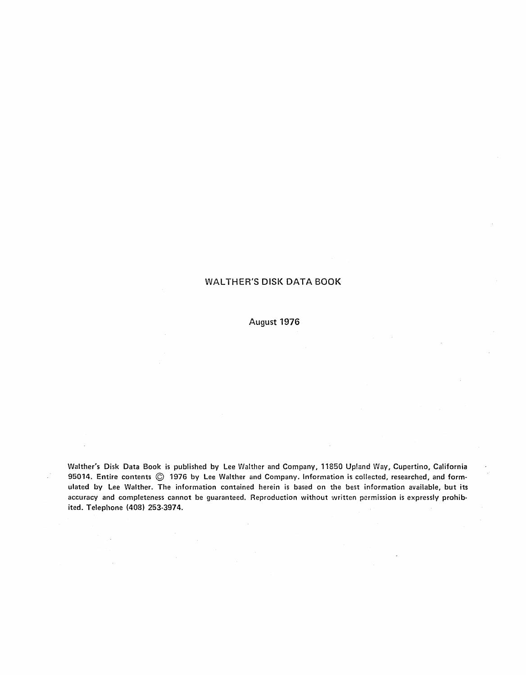#### WALTHER'S DISK DATA BOOK

#### August 1976

Walther's Disk Data Book is published by Lee Walther and Company, 11850 Up!and Way, Cupertino, California 95014. Entire contents © 1976 by Lee Walther and Company. Information is collected, researched, and formulated by Lee Walther. The information contained herein is based on the best information available, but its accuracy and completeness cannot be guaranteed. Reproduction without written permission is expressly prohibited. Telephone (408) 253-3974.

 $\bar{z}$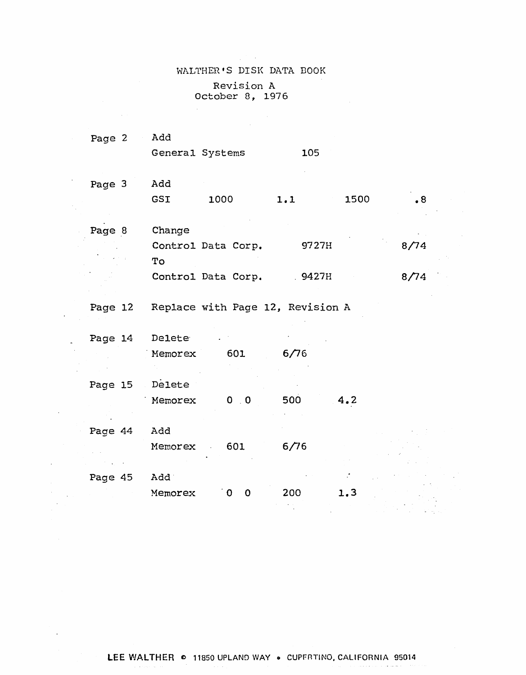# WALTHER'S DISK DATA BOOK Revision A October 8, 1976

 $\sim 100$ 

 $\sim$ 

 $\ddot{\phantom{a}}$ 

 $\gamma_{\rm g}$ 

 $\bar{\beta}$ 

 $\overline{\phantom{a}}$ 

 $\sim$   $\sim$ 

| Page 2         | Add                 | General Systems                  | 105   |      |           |  |
|----------------|---------------------|----------------------------------|-------|------|-----------|--|
| Page 3         | Add                 |                                  |       |      |           |  |
|                | GSI                 | 1000                             | 1.1   | 1500 | $\cdot$ 8 |  |
| Page 8         | Change              |                                  |       |      |           |  |
|                |                     | Control Data Corp.               | 9727H |      | 8/74      |  |
|                | To                  | Control Data Corp.               | 9427H |      | 8/74      |  |
| Page 12        |                     | Replace with Page 12, Revision A |       |      |           |  |
|                |                     |                                  |       |      |           |  |
| Page 14        | Delete <sup>®</sup> |                                  |       |      |           |  |
|                | Memorex             | 601                              | 6/76  |      |           |  |
| Page 15 Delete |                     |                                  |       |      |           |  |
|                | Memorex             | $0 \quad 0$                      | 500   | 4.2  |           |  |
| Page 44        | Add                 |                                  |       |      |           |  |
|                | Memorex             | 601                              | 6/76  |      |           |  |
|                |                     |                                  |       |      |           |  |
| Page 45        | Add                 |                                  |       |      |           |  |
|                | Memorex             | $\mathbf 0$<br>် O               | 200   | 1,3  |           |  |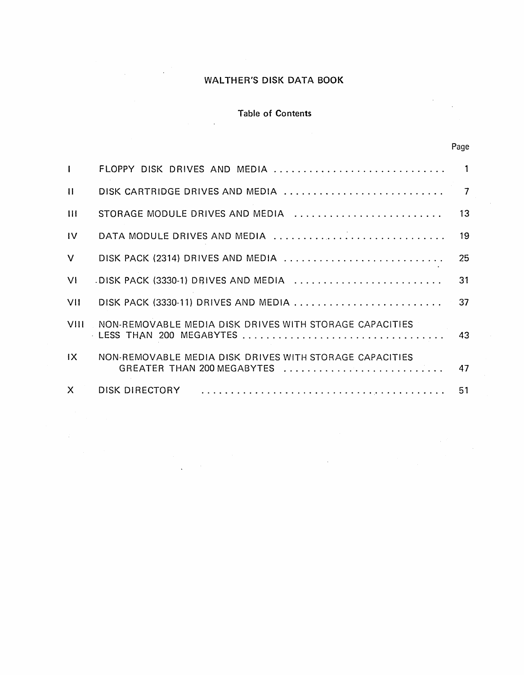### WALTHER'S DISK DATA BOOK

#### Table of Contents

 $\bar{z}$ 

Page

| L                |                                                                                       |    |
|------------------|---------------------------------------------------------------------------------------|----|
| $\mathbf{1}$     |                                                                                       |    |
| $\overline{111}$ | STORAGE MODULE DRIVES AND MEDIA                                                       | 13 |
| IV               | DATA MODULE DRIVES AND MEDIA                                                          | 19 |
| V                | DISK PACK (2314) DRIVES AND MEDIA                                                     | 25 |
| V١               | DISK PACK (3330-1) DRIVES AND MEDIA                                                   | 31 |
| VII              |                                                                                       | 37 |
| VIII             | NON-REMOVABLE MEDIA DISK DRIVES WITH STORAGE CAPACITIES                               |    |
| IX.              | NON-REMOVABLE MEDIA DISK DRIVES WITH STORAGE CAPACITIES<br>GREATER THAN 200 MEGABYTES | 47 |
| X.               | DISK DIRECTORY                                                                        | 51 |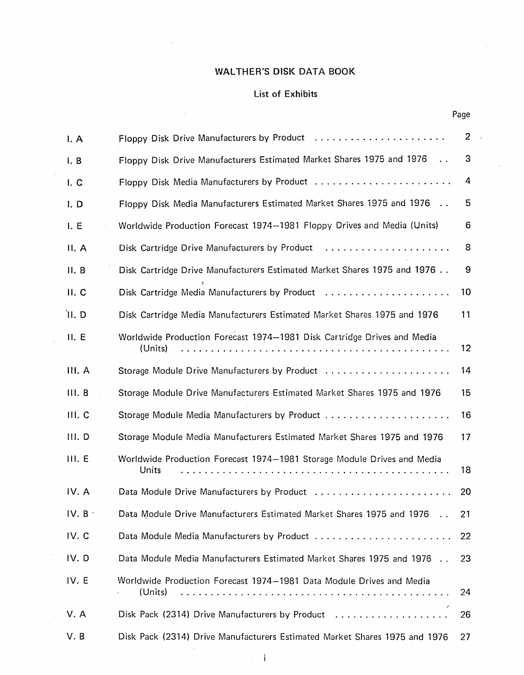### WALTHER'S DISK DATA BOOK

### List of Exhibits

 $\mathcal{L}$ 

Page

| I. A   | Floppy Disk Drive Manufacturers by Product                                             | $\overline{2}$ |
|--------|----------------------------------------------------------------------------------------|----------------|
| I. B   | Floppy Disk Drive Manufacturers Estimated Market Shares 1975 and 1976<br>$\sim$ $\sim$ | 3              |
| I. C   | Floppy Disk Media Manufacturers by Product                                             | 4              |
| I. D   | Floppy Disk Media Manufacturers Estimated Market Shares 1975 and 1976                  | 5              |
| I. E   | Worldwide Production Forecast 1974–1981 Floppy Drives and Media (Units)                | 6              |
| II. A  | Disk Cartridge Drive Manufacturers by Product                                          | 8              |
| II. B  | Disk Cartridge Drive Manufacturers Estimated Market Shares 1975 and 1976               | 9              |
| II. C  | Disk Cartridge Media Manufacturers by Product                                          | 10             |
| II.D   | Disk Cartridge Media Manufacturers Estimated Market Shares 1975 and 1976               | 11             |
| II. E  | Worldwide Production Forecast 1974-1981 Disk Cartridge Drives and Media<br>(Units)     | 12             |
| III. A |                                                                                        | 14             |
| III. B | Storage Module Drive Manufacturers Estimated Market Shares 1975 and 1976               | 15             |
| III. C |                                                                                        | 16             |
| III. D | Storage Module Media Manufacturers Estimated Market Shares 1975 and 1976               | 17             |
| III. E | Worldwide Production Forecast 1974-1981 Storage Module Drives and Media<br>Units       | 18             |
| IV. A  | Data Module Drive Manufacturers by Product                                             | 20             |
| IV. B  | Data Module Drive Manufacturers Estimated Market Shares 1975 and 1976                  | 21             |
| IV. C  |                                                                                        | 22             |
| IV.D   | Data Module Media Manufacturers Estimated Market Shares 1975 and 1976                  | 23             |
| IV. E  | Worldwide Production Forecast 1974-1981 Data Module Drives and Media<br>(Units)        | 24             |
| V. A   | Disk Pack (2314) Drive Manufacturers by Product                                        | 26             |
| V. B   | Disk Pack (2314) Drive Manufacturers Estimated Market Shares 1975 and 1976             | 27             |

i.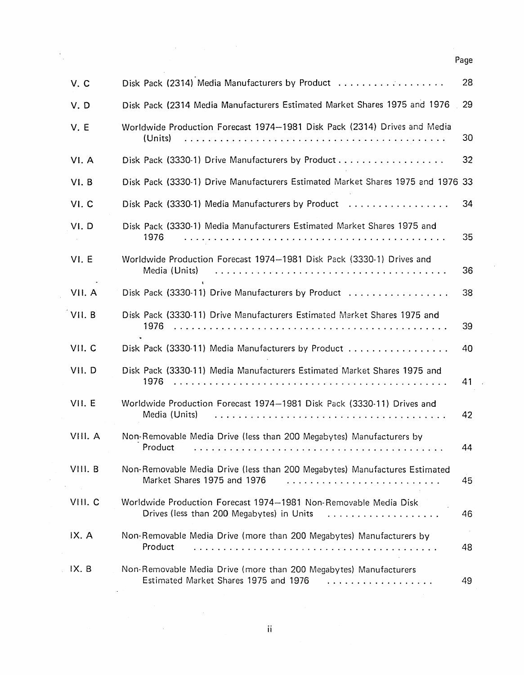| V.C     | Disk Pack (2314) Media Manufacturers by Product                                                                            | 28           |
|---------|----------------------------------------------------------------------------------------------------------------------------|--------------|
| V.D     | Disk Pack (2314 Media Manufacturers Estimated Market Shares 1975 and 1976                                                  | 29           |
| V. E    | Worldwide Production Forecast 1974–1981 Disk Pack (2314) Drives and Media<br>(Units)                                       | 30           |
| VI. A   | Disk Pack (3330-1) Drive Manufacturers by Product                                                                          | 32           |
| VI. B   | Disk Pack (3330-1) Drive Manufacturers Estimated Market Shares 1975 and 1976 33                                            |              |
| VI.C    | Disk Pack (3330-1) Media Manufacturers by Product                                                                          | 34           |
| VI.D    | Disk Pack (3330-1) Media Manufacturers Estimated Market Shares 1975 and<br>1976                                            | 35           |
| VI. E   | Worldwide Production Forecast 1974-1981 Disk Pack (3330-1) Drives and<br>Media (Units)                                     | 36           |
| VII. A  | Disk Pack (3330-11) Drive Manufacturers by Product                                                                         | 38           |
| VII. B  | Disk Pack (3330-11) Drive Manufacturers Estimated Market Shares 1975 and<br>1976                                           | 39           |
| VII. C  | Disk Pack (3330-11) Media Manufacturers by Product                                                                         | 40           |
| VII.D   | Disk Pack (3330-11) Media Manufacturers Estimated Market Shares 1975 and<br>1976                                           | 41           |
| VII. E  | Worldwide Production Forecast 1974-1981 Disk Pack (3330-11) Drives and<br>Media (Units)                                    | 42           |
| VIII. A | Non-Removable Media Drive (less than 200 Megabytes) Manufacturers by<br>Product                                            | 44           |
| VIII. B | Non-Removable Media Drive (less than 200 Megabytes) Manufactures Estimated<br>Market Shares 1975 and 1976                  | 45           |
| VIII. C | Worldwide Production Forecast 1974-1981 Non-Removable Media Disk<br>Drives (less than 200 Megabytes) in Units<br>.         | 46           |
| IX. A   | Non-Removable Media Drive (more than 200 Megabytes) Manufacturers by<br>Product                                            | $\sim$<br>48 |
| IX. B   | Non-Removable Media Drive (more than 200 Megabytes) Manufacturers<br>Estimated Market Shares 1975 and 1976<br>. <i>. .</i> | 49           |

 $\sim$ 

 $\mathcal{A}^{\mathcal{A}}$ 

 $\ddot{\phantom{0}}$  $\bar{z}$ 

 $\bar{\beta}$ 

 $\bar{z}$ 

 $\bar{\beta}$ 

 $\ddot{\phantom{a}}$ 

 $\bar{\lambda}$ 

Page

ii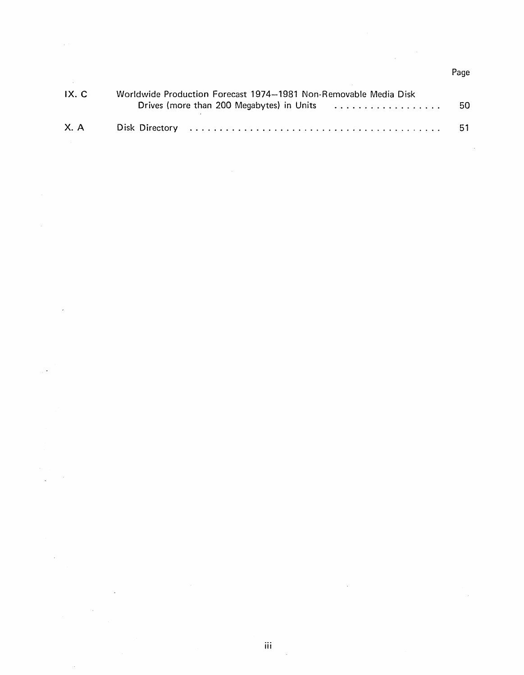| IX. C | Worldwide Production Forecast 1974-1981 Non-Removable Media Disk |       |
|-------|------------------------------------------------------------------|-------|
|       | Drives (more than 200 Megabytes) in Units                        | -50 - |
| X. A  |                                                                  | -51-  |

 $\sim$   $\sim$ 

 $\hat{\mathcal{A}}$ 

 $\bar{z}$ 

 $\bar{\beta}$ 

 $\bar{\gamma}$ 

Page

 $\hat{\mathcal{A}}$ 

l,

 $\boldsymbol{\beta}$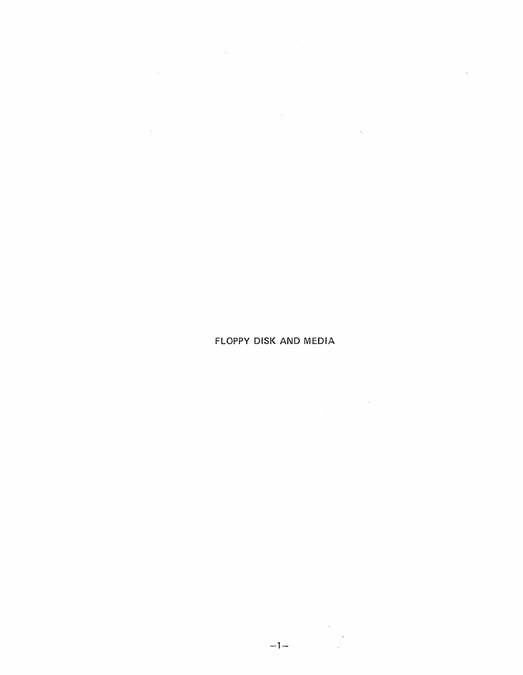$\sim 10^7$  $\ddot{\phantom{a}}$  $\hat{\mathbf{v}}_1$ 

### **FLOPPY DISK AND MEDIA**

 $\mathcal{A}^{\mathcal{A}}$  and  $\mathcal{A}^{\mathcal{A}}$  are  $\mathcal{A}^{\mathcal{A}}$  . In the contribution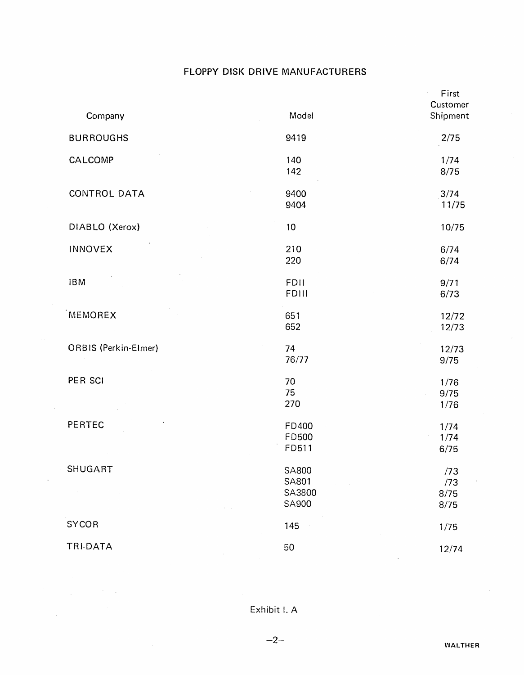### FLOPPY DISK DRIVE MANUFACTURERS

| Company              | Model                                           | First<br>Customer<br>Shipment |
|----------------------|-------------------------------------------------|-------------------------------|
| <b>BURROUGHS</b>     | 9419                                            | 2/75                          |
| CALCOMP              | 140<br>142                                      | 1/74<br>8/75                  |
| <b>CONTROL DATA</b>  | 9400<br>9404                                    | 3/74<br>11/75                 |
| DIABLO (Xerox)       | 10                                              | 10/75                         |
| <b>INNOVEX</b>       | 210<br>220                                      | 6/74<br>6/74                  |
| <b>IBM</b>           | <b>FDII</b><br>FDIII                            | 9/71<br>6/73                  |
| MEMOREX              | 651<br>652                                      | 12/72<br>12/73                |
| ORBIS (Perkin-Elmer) | 74<br>76/77                                     | 12/73<br>9/75                 |
| PER SCI              | 70<br>75<br>270                                 | 1/76<br>9/75<br>1/76          |
| PERTEC               | FD400<br><b>FD500</b><br>FD511                  | 1/74<br>1/74<br>6/75          |
| <b>SHUGART</b>       | <b>SA800</b><br><b>SA801</b><br>SA3800<br>SA900 | /73<br>/73<br>8/75<br>8/75    |
| <b>SYCOR</b>         | 145                                             | 1/75                          |
| TRI-DATA             | 50                                              | 12/74                         |

 $\mathcal{L}_{\text{max}}$ 

 $\overline{a}$ 

 $\bar{z}$ 

Exhibit I. A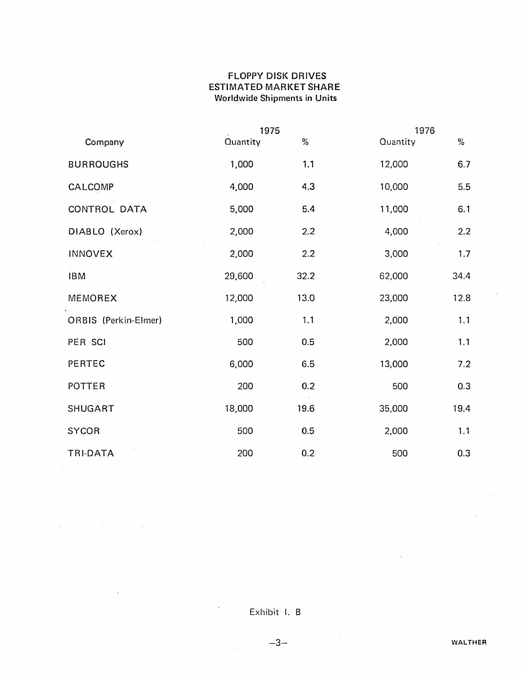### FLOPPY DISK DRIVES ESTIMATED MARKET SHARE Worldwide Shipments in Units

|                      |          | 1975 |          | 1976 |
|----------------------|----------|------|----------|------|
| Company              | Quantity | $\%$ | Quantity | $\%$ |
| <b>BURROUGHS</b>     | 1,000    | 1.1  | 12,000   | 6.7  |
| CALCOMP              | 4,000    | 4.3  | 10,000   | 5.5  |
| CONTROL DATA         | 5,000    | 5.4  | 11,000   | 6.1  |
| DIABLO (Xerox)       | 2,000    | 2.2  | 4,000    | 2.2  |
| <b>INNOVEX</b>       | 2,000    | 2.2  | 3,000    | 1.7  |
| <b>IBM</b>           | 29,600   | 32.2 | 62,000   | 34.4 |
| MEMOREX              | 12,000   | 13.0 | 23,000   | 12.8 |
| ORBIS (Perkin-Elmer) | 1,000    | 1.1  | 2,000    | 1.1  |
| PER SCI              | 500      | 0.5  | 2,000    | 1.1  |
| PERTEC               | 6,000    | 6.5  | 13,000   | 7.2  |
| POTTER               | 200      | 0.2  | 500      | 0.3  |
| <b>SHUGART</b>       | 18,000   | 19.6 | 35,000   | 19.4 |
| <b>SYCOR</b>         | 500      | 0.5  | 2,000    | 1.1  |
| TRI-DATA             | 200      | 0.2  | 500      | 0.3  |

 $\bar{z}$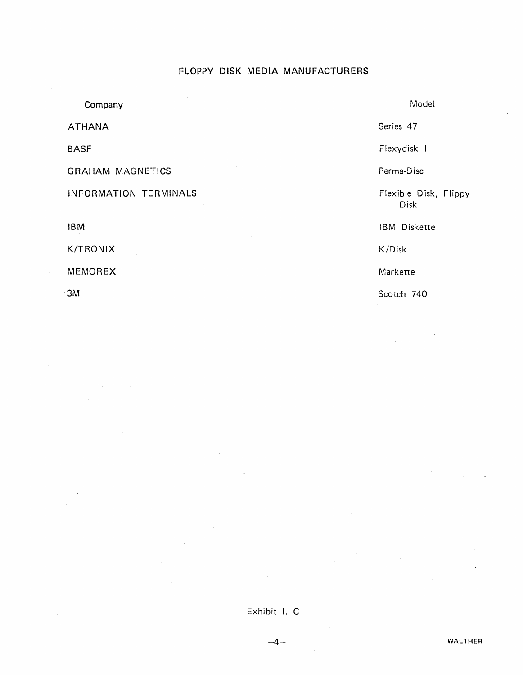#### FLOPPY DISK MEDIA MANUFACTURERS

**Company** ATHANA BASF GRAHAM MAGNETICS INFORMATION TERMINALS IBM K/TRONIX MEMOREX 3M Model Series 47 Flexydisk Perma-Disc Flexible Disk, Flippy Disk I BM Diskette K/Disk Markette Scotch 740

 $-4-$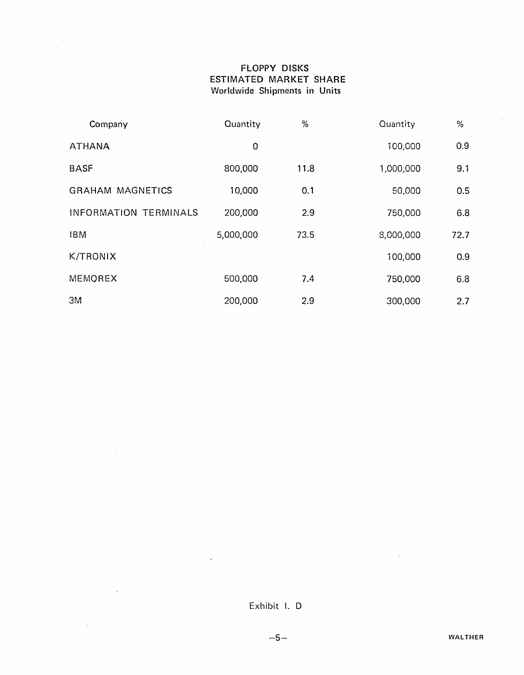#### FLOPPY DISKS ESTIMATED MARKET SHARE Worldwide Shipments in Units

| Company                      | Quantity  | %    | Quantity  | %    |
|------------------------------|-----------|------|-----------|------|
| <b>ATHANA</b>                | 0         |      | 100,000   | 0.9  |
| <b>BASF</b>                  | 800,000   | 11.8 | 1,000,000 | 9.1  |
| <b>GRAHAM MAGNETICS</b>      | 10,000    | 0.1  | 50,000    | 0.5  |
| <b>INFORMATION TERMINALS</b> | 200,000   | 2.9  | 750,000   | 6.8  |
| <b>IBM</b>                   | 5,000,000 | 73.5 | 8,000,000 | 72.7 |
| <b>K/TRONIX</b>              |           |      | 100,000   | 0.9  |
| MEMOREX                      | 500,000   | 7.4  | 750,000   | 6.8  |
| 3M                           | 200,000   | 2.9  | 300,000   | 2.7  |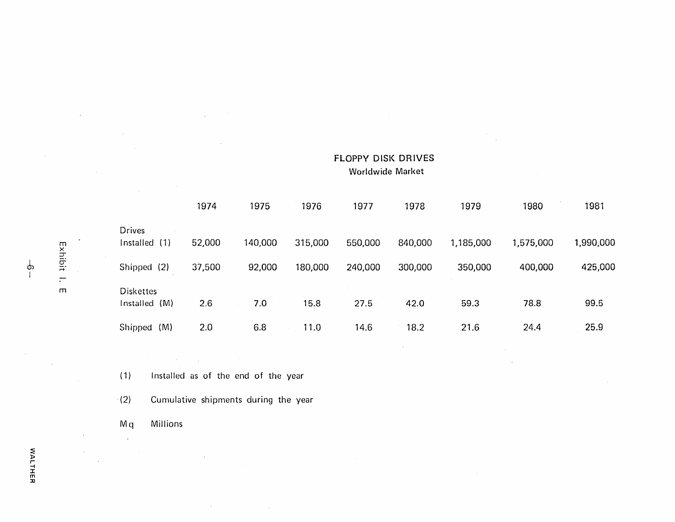|                                      | 1974   | 1975    | 1976    | 1977    | 1978    | 1979      | 1980      | 1981      |
|--------------------------------------|--------|---------|---------|---------|---------|-----------|-----------|-----------|
| <b>Drives</b><br>(1)<br>Installed    | 52,000 | 140,000 | 315,000 | 550,000 | 840,000 | 1,185,000 | 1,575,000 | 1,990,000 |
| Shipped (2)                          | 37,500 | 92,000  | 180,000 | 240,000 | 300,000 | 350,000   | 400,000   | 425,000   |
| <b>Diskettes</b><br>(M)<br>Installed | 2.6    | 7.0     | 15.8    | 27.5    | 42.0    | 59.3      | 78.8      | 99.5      |
| (M)<br>Shipped                       | 2.0    | 6.8     | 11.0    | 14.6    | 18.2    | 21.6      | 24.4      | 25.9      |

FLOPPY DISK DRIVES Worldwide Market

(1) Installed as of the end of the year

 $\bar{A}$ 

 $\sim$ 

 $\mathcal{L}^{\pm}$ 

. (2) Cumulative shipments during the year

Mq Millions

 $\sim$ 

Exhibit I.  $\overline{m}$ 

 $\sim$ 

 $\mathcal{L}$ 

 $\downarrow$ I

 $\bar{z}$ 

 $\sim 10^{-1}$ 

 $\mathcal{L}_{\mathcal{A}}$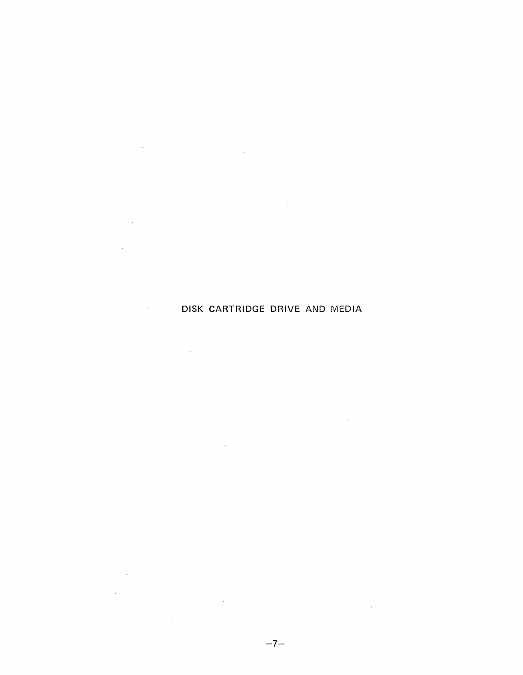## DISK CARTRIDGE DRIVE AND MEDIA

 $\mathcal{L}^{\text{max}}_{\text{max}}$  and  $\mathcal{L}^{\text{max}}_{\text{max}}$ 

 $\sim 10$ 

 $\sim$   $\sim$ 

 $\mathcal{L}_{\text{max}}$  ,  $\mathcal{L}_{\text{max}}$ 

 $\sim 100$ 

 $\sim 10^{11}$  km  $^{-1}$ 

 $\sim 10^{-1}$ 

 $\sim 10^6$ 

 $\sim 10^{11}$  km  $^{-1}$ 

 $\sim$ 

 $\bar{\mathcal{A}}$ 

 $\sim 10^{-1}$ 

 $\label{eq:2.1} \frac{1}{2\pi}\int_{0}^{2\pi} \frac{1}{\sqrt{2\pi}}\left(\frac{1}{\sqrt{2\pi}}\right)^{2\pi} \frac{1}{\sqrt{2\pi}}\left(\frac{1}{\sqrt{2\pi}}\right)^{2\pi} \frac{1}{\sqrt{2\pi}}\left(\frac{1}{\sqrt{2\pi}}\right)^{2\pi} \frac{1}{\sqrt{2\pi}}\left(\frac{1}{\sqrt{2\pi}}\right)^{2\pi} \frac{1}{\sqrt{2\pi}}\left(\frac{1}{\sqrt{2\pi}}\right)^{2\pi} \frac{1}{\sqrt{2\pi}}\left(\frac{1}{\sqrt{2$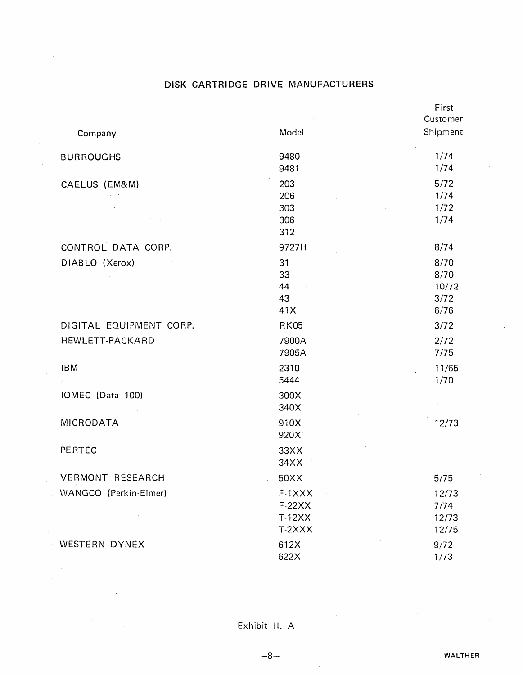### DISK CARTRIDGE DRIVE MANUFACTURERS

| Company                 | Model                                    | First<br>Customer<br>Shipment         |
|-------------------------|------------------------------------------|---------------------------------------|
| <b>BURROUGHS</b>        | 9480<br>9481                             | 1/74<br>1/74                          |
| CAELUS (EM&M)           | 203<br>206<br>303<br>306<br>312          | $5/72$<br>1/74<br>1/72<br>1/74        |
| CONTROL DATA CORP.      | 9727H                                    | 8/74                                  |
| DIABLO (Xerox)          | 31<br>33<br>44<br>43<br>41X              | 8/70<br>8/70<br>10/72<br>3/72<br>6/76 |
| DIGITAL EQUIPMENT CORP. | <b>RK05</b>                              | 3/72                                  |
| HEWLETT-PACKARD         | 7900A<br>7905A                           | 2/72<br>7/75                          |
| <b>IBM</b>              | 2310<br>5444                             | 11/65<br>1/70                         |
| IOMEC (Data 100)        | 300X<br>340X                             |                                       |
| MICRODATA               | 910X<br>920X                             | 12/73                                 |
| PERTEC                  | 33XX<br>34XX                             |                                       |
| <b>VERMONT RESEARCH</b> | 50XX                                     | 5/75                                  |
| WANGCO (Perkin-Elmer)   | F-1XXX<br>$F-22XX$<br>$T-12XX$<br>T-2XXX | 12/73<br>7/74<br>12/73<br>12/75       |
| WESTERN DYNEX           | 612X<br>622X                             | 9/72<br>1/73                          |

 $-8-$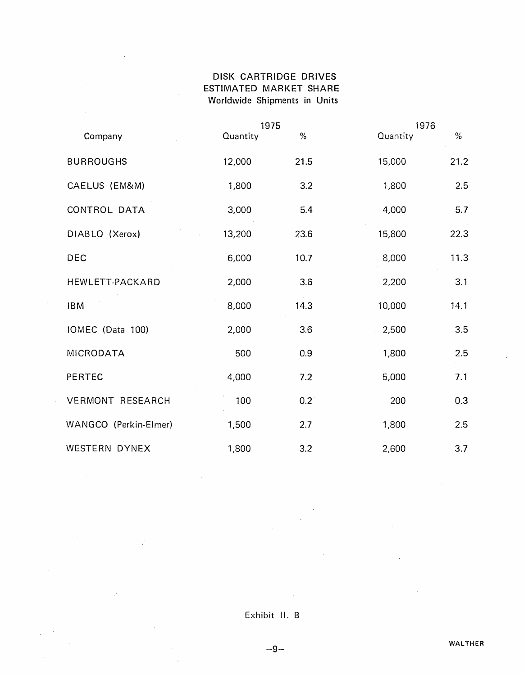### DISK CARTRIDGE DRIVES ESTIMATED MARKET SHARE Worldwide Shipments in Units

|                         | 1975     |             | 1976     |      |
|-------------------------|----------|-------------|----------|------|
| Company                 | Quantity | $\%$        | Quantity | $\%$ |
| <b>BURROUGHS</b>        | 12,000   | 21.5        | 15,000   | 21.2 |
| CAELUS (EM&M)           | 1,800    | 3.2         | 1,800    | 2.5  |
| CONTROL DATA            | 3,000    | 5.4         | 4,000    | 5.7  |
| DIABLO (Xerox)          | 13,200   | 23.6        | 15,800   | 22.3 |
| DEC                     | 6,000    | 10.7        | 8,000    | 11.3 |
| HEWLETT-PACKARD         | 2,000    | 3.6         | 2,200    | 3.1  |
| <b>JBM</b>              | 8,000    | 14.3        | 10,000   | 14.1 |
| IOMEC (Data 100)        | 2,000    | 3.6         | 2,500    | 3.5  |
| <b>MICRODATA</b>        | 500      | 0.9         | 1,800    | 2.5  |
| <b>PERTEC</b>           | 4,000    | 7.2         | 5,000    | 7.1  |
| <b>VERMONT RESEARCH</b> | 100      | $0.2^\circ$ | 200      | 0.3  |
| WANGCO (Perkin-Elmer)   | 1,500    | 2.7         | 1,800    | 2.5  |
| <b>WESTERN DYNEX</b>    | 1,800    | 3.2         | 2,600    | 3.7  |

 $\bar{\omega}$ 

 $\mathcal{L}$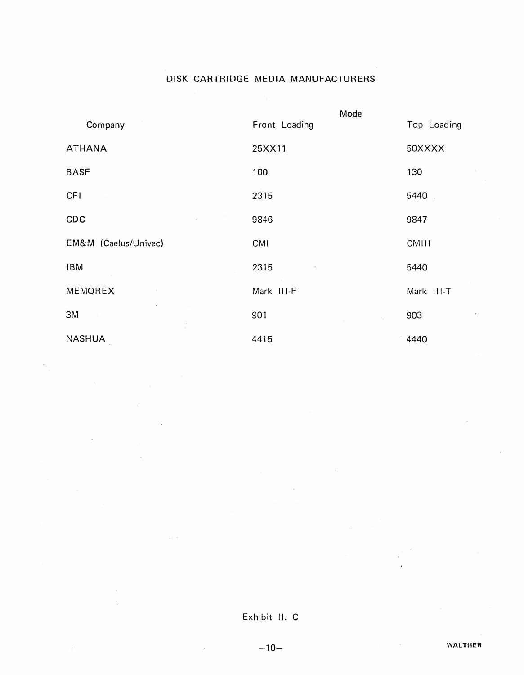## DISK CARTRIDGE MEDIA MANUFACTURERS

|                      |               | Model  |             |
|----------------------|---------------|--------|-------------|
| Company              | Front Loading |        | Top Loading |
| <b>ATHANA</b>        | 25XX11        |        | 50XXXX      |
| <b>BASF</b>          | 100           |        | 130         |
| <b>CFI</b>           | 2315          |        | 5440        |
| CDC                  | 9846          |        | 9847        |
| EM&M (Caelus/Univac) | CMI           |        | CMIII       |
| <b>IBM</b>           | 2315          |        | 5440        |
| MEMOREX              | Mark III-F    |        | Mark III-T  |
| 3M                   | 901           | $\sim$ | 903         |
| <b>NASHUA</b>        | 4415          |        | 4440        |

### Exhibit II. C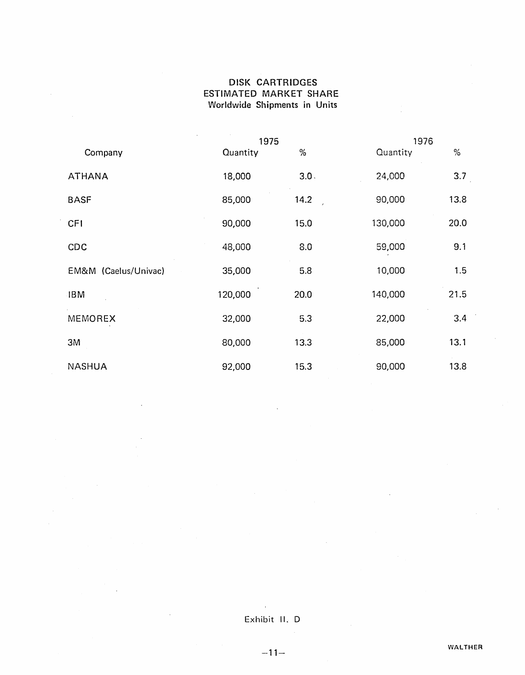### DISK CARTRIDGES ESTIMATED MARKET SHARE Worldwide Shipments in Units

|                      | 1975     |      | 1976     |      |  |
|----------------------|----------|------|----------|------|--|
| Company              | Quantity | $\%$ | Quantity | %    |  |
| <b>ATHANA</b>        | 18,000   | 3.0. | 24,000   | 3.7  |  |
| <b>BASF</b>          | 85,000   | 14.2 | 90,000   | 13.8 |  |
| <b>CFI</b>           | 90,000   | 15.0 | 130,000  | 20.0 |  |
| CDC                  | 48,000   | 8.0  | 59,000   | 9.1  |  |
| EM&M (Caelus/Univac) | 35,000   | 5.8  | 10,000   | 1.5  |  |
| <b>IBM</b>           | 120,000  | 20.0 | 140,000  | 21.5 |  |
| MEMOREX              | 32,000   | 5.3  | 22,000   | 3.4  |  |
| 3M                   | 80,000   | 13.3 | 85,000   | 13.1 |  |
| <b>NASHUA</b>        | 92,000   | 15.3 | 90,000   | 13.8 |  |

## Exhibit II. D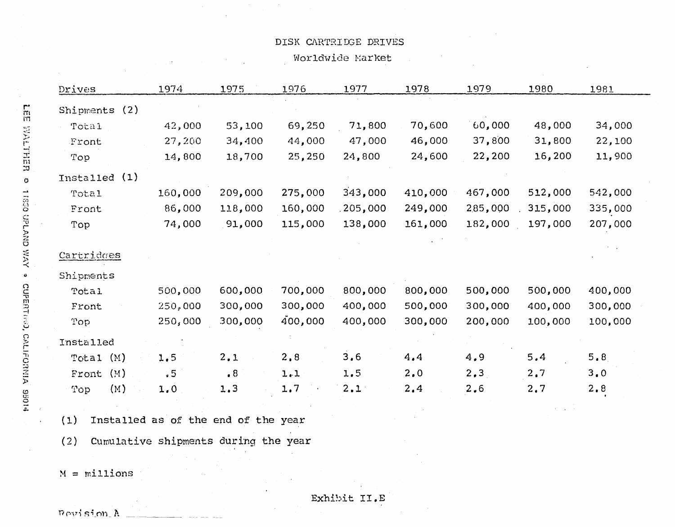#### DISK CARTRIDGE DRIVES

Worldwide Market

| Drives         | 1974               | 1975               | 1976               | 1977               | 1978               | 1979               | 1980               | 1981                          |
|----------------|--------------------|--------------------|--------------------|--------------------|--------------------|--------------------|--------------------|-------------------------------|
| Shipments (2)  |                    |                    |                    |                    |                    |                    |                    |                               |
| Total          | 42,000             | 53,100             | 69,250             | 71,800             | 70,600             | 60,000             | 48,000             | 34,000                        |
| Front          | 27,200             | 34,400             | 44,000             | 47,000             | 46,000             | 37,800             | 31,800             | 22,100                        |
| Top            | 14,800             | 18,700             | 25,250             | 24,800             | 24,600             | 22,200             | 16,200             | 11,900                        |
| Installed (1)  |                    |                    |                    |                    |                    |                    |                    |                               |
| <b>Total</b>   | 160,000            | 209,000            | 275,000            | 343,000            | 410,000            | 467,000            | 512,000            | 542,000                       |
| Front          | 86,000             | 118,000            | 160,000            | 205,000            | 249,000            | 2.85,000           | 315,000            | 335,000                       |
| Top            | 74,000             | 91,000             | 115,000            | 138,000            | 161,000            | 182,000            | 197,000            | 207,000                       |
|                |                    |                    |                    |                    |                    |                    |                    |                               |
| Cartridges     |                    |                    |                    |                    |                    |                    |                    |                               |
| Shipments      |                    |                    |                    |                    |                    |                    |                    |                               |
| Total<br>Front | 500,000            | 600,000<br>300,000 | 700,000<br>300,000 | 800,000<br>400,000 | 800,000<br>500,000 | 500,000<br>300,000 | 500,000<br>400,000 |                               |
| Top            | 250,000<br>250,000 | 300,000            | 400,000            | 400,000            | 300,000            | 200,000            | 100,000            | 400,000<br>300,000<br>100,000 |
| Installed      |                    |                    |                    |                    |                    |                    |                    |                               |
| Total(M)       | 1.5                | 2.1                | 2,8                | 3.6                | 4.4                | 4.9                | 5.4                | 5.8                           |
| (M)<br>Front   | .5                 | $\cdot$ 8          | 1.1                | 1.5                | 2.0                | 2, 3               | 2.7                | 3.0                           |

(1) Installed as of the end of the year

(2) Cumulative shipments during the year

 $M =$  millions

Revision A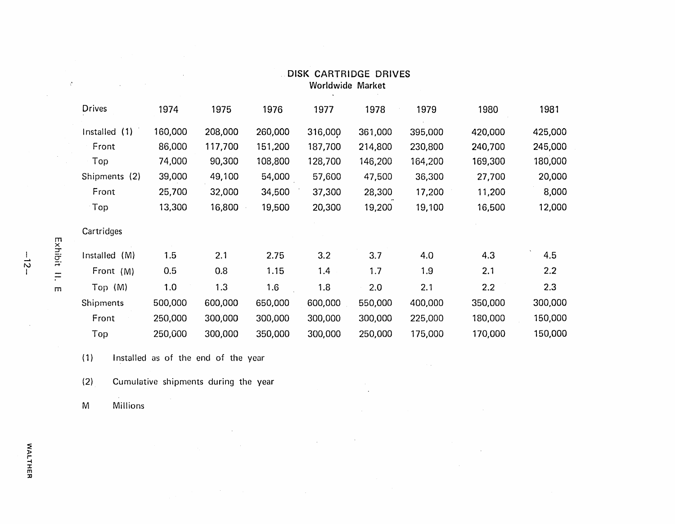| Drives           | 1974    | 1975    | 1976    | 1977    | 1978    | 1979    | 1980    | 1981    |
|------------------|---------|---------|---------|---------|---------|---------|---------|---------|
| Installed (1)    | 160,000 | 208,000 | 260,000 | 316,000 | 361,000 | 395,000 | 420,000 | 425,000 |
| Front            | 86,000  | 117,700 | 151,200 | 187,700 | 214,800 | 230,800 | 240,700 | 245,000 |
| Top              | 74,000  | 90,300  | 108,800 | 128,700 | 146,200 | 164,200 | 169,300 | 180,000 |
| Shipments (2)    | 39,000  | 49,100  | 54,000  | 57,600  | 47,500  | 36,300  | 27,700  | 20,000  |
| Front            | 25,700  | 32,000  | 34,500  | 37,300  | 28,300  | 17,200  | 11,200  | 8,000   |
| Top              | 13,300  | 16,800  | 19,500  | 20,300  | 19,200  | 19,100  | 16,500  | 12,000  |
| Cartridges       |         |         |         |         |         |         |         |         |
| Installed<br>(M) | 1.5     | 2.1     | 2.75    | 3.2     | 3.7     | 4.0     | 4.3     | 4.5     |
| Front (M)        | 0.5     | 0.8     | 1.15    | 1.4     | 1.7     | 1.9     | 2.1     | 2.2     |
| Top (M)          | 1.0     | 1.3     | 1.6     | 1.8     | 2.0     | 2.1     | 2.2     | 2.3     |
| Shipments        | 500,000 | 600,000 | 650,000 | 600,000 | 550,000 | 400,000 | 350,000 | 300,000 |
| Front            | 250,000 | 300,000 | 300,000 | 300,000 | 300,000 | 225,000 | 180,000 | 150,000 |
| Top              | 250,000 | 300,000 | 350,000 | 300,000 | 250,000 | 175,000 | 170,000 | 150,000 |

 $\mathcal{L}^{\pm}$ 

 $\sim 10^6$ 

 $\sim 10^7$ 

 $\sim$ 

#### DISK CARTRIDGE DRIVES Worldwide Market

 $\sim$ 

(1) Installed as of the end of the year

 $\sim 10^{11}$ 

(2) Cumulative shipments during the year

 $\sim$ 

 $\sim 10^{11}$ 

 $\sim 10^7$ 

M Millions

m<br>H<br>H

 $\chi^{\rm eff}$ 

 $\sim$ 

 $\mathcal{L}^{\text{max}}_{\text{max}}$  and  $\mathcal{L}^{\text{max}}_{\text{max}}$ 

id:<br>1<br>:-

m

 $-15-$ 

 $\bar{\alpha}$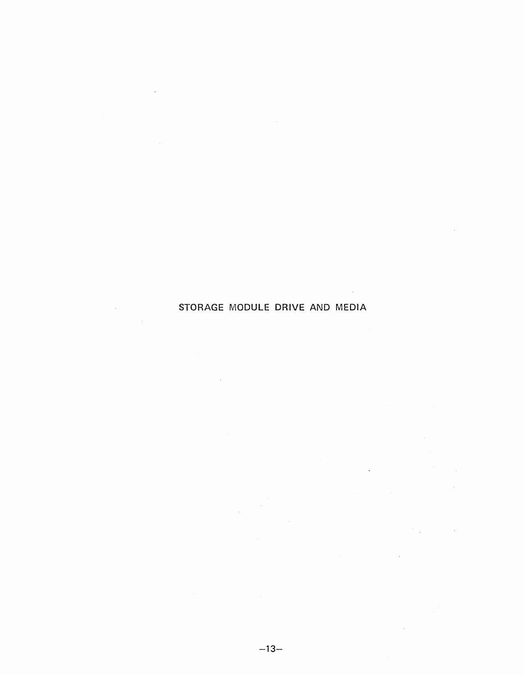# STORAGE MODULE DRIVE AND MEDIA

 $\mathcal{L}_{\mathrm{c}}$ 

 $\sim 10^7$ 

 $\sim$   $\sim$ 

 $\sim$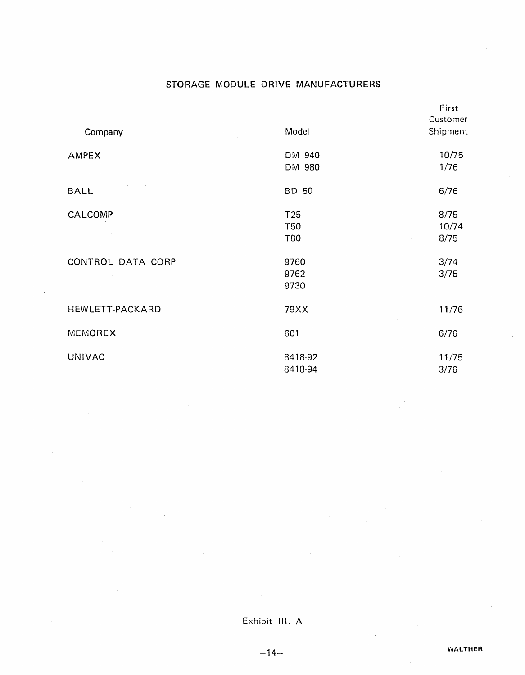### STORAGE MODULE DRIVE MANUFACTURERS

| Company           | Model                                       | First<br>Customer<br>Shipment       |
|-------------------|---------------------------------------------|-------------------------------------|
| <b>AMPEX</b>      | DM 940<br>DM 980                            | 10/75<br>1/76                       |
| <b>BALL</b>       | BD 50                                       | 6/76                                |
| CALCOMP           | T <sub>25</sub><br><b>T50</b><br><b>T80</b> | 8/75<br>10/74<br>8/75<br>$\epsilon$ |
| CONTROL DATA CORP | 9760<br>9762<br>9730                        | 3/74<br>3/75                        |
| HEWLETT-PACKARD   | 79XX                                        | 11/76                               |
| MEMOREX           | 601                                         | 6/76                                |
| <b>UNIVAC</b>     | 8418-92<br>8418-94                          | 11/75<br>3/76                       |

 $-14-$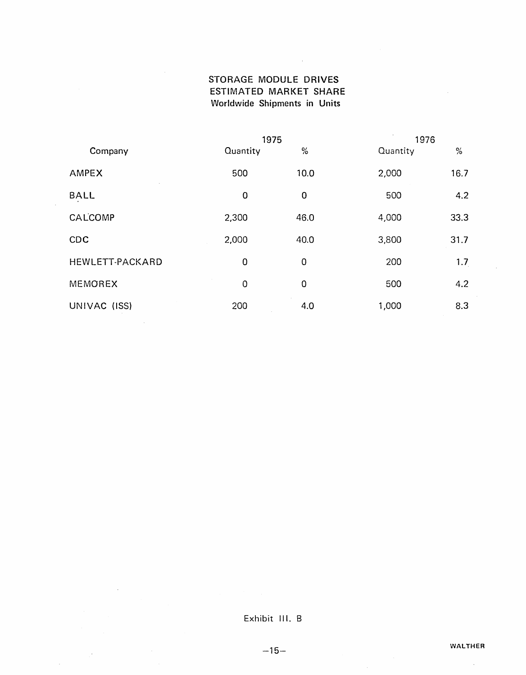### STORAGE MODULE DRIVES ESTIMATED MARKET SHARE Worldwide Shipments in Units

 $\mathcal{L}^{\text{max}}_{\text{max}}$ 

|                 | 1975        |      | 1976     |      |  |
|-----------------|-------------|------|----------|------|--|
| Company         | Quantity    | $\%$ | Quantity | $\%$ |  |
| <b>AMPEX</b>    | 500         | 10.0 | 2,000    | 16.7 |  |
| <b>BALL</b>     | $\mathbf 0$ | 0    | 500      | 4.2  |  |
| CALCOMP         | 2,300       | 46.0 | 4,000    | 33.3 |  |
| CDC             | 2,000       | 40.0 | 3,800    | 31.7 |  |
| HEWLETT-PACKARD | $\mathbf 0$ | 0    | 200      | 1.7  |  |
| MEMOREX         | $\mathbf 0$ | 0    | 500      | 4.2  |  |
| UNIVAC (ISS)    | 200         | 4.0  | 1,000    | 8.3  |  |

### Exhibit III. B

 $\bar{\psi}$ 

 $-15-$ 

 $\bar{a}$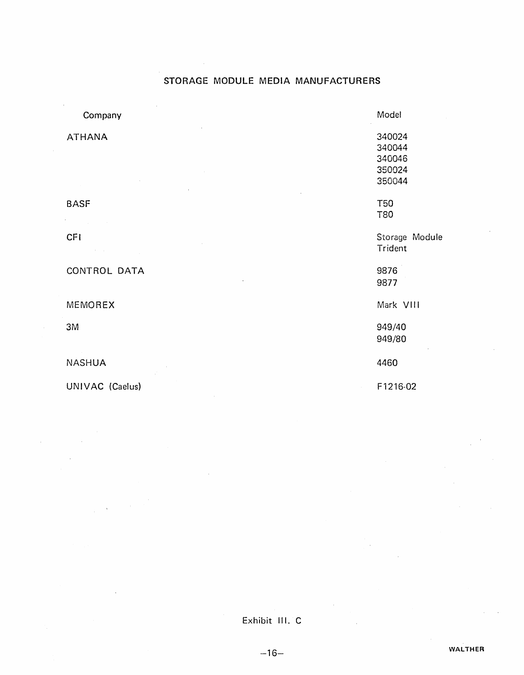### STORAGE MODULE MEDIA MANUFACTURERS

| Company                       | Model                                          |
|-------------------------------|------------------------------------------------|
| <b>ATHANA</b>                 | 340024<br>340044<br>340046<br>350024<br>350044 |
| <b>BASF</b>                   | <b>T50</b><br>T80                              |
| <b>CFI</b><br><b>Contract</b> | Storage Module<br>Trident                      |
| CONTROL DATA                  | 9876<br>9877                                   |
| MEMOREX                       | Mark VIII                                      |
| 3M                            | 949/40<br>949/80                               |
| <b>NASHUA</b>                 | 4460                                           |
| UNIVAC (Caelus)               | F1216-02<br>$\sim$                             |

Exhibit III. C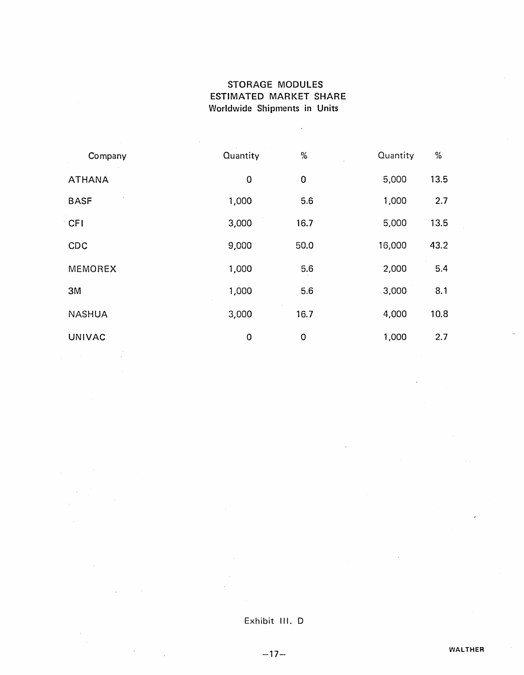### STORAGE MODULES ESTIMATED MARKET SHARE Worldwide Shipments in Units

 $\mathcal{L}$ 

| Company        | Quantity    | $\%$        | Quantity | $\%$ |
|----------------|-------------|-------------|----------|------|
| <b>ATHANA</b>  | 0           | $\mathbf 0$ | 5,000    | 13.5 |
| <b>BASF</b>    | 1,000       | 5.6         | 1,000    | 2.7  |
| <b>CFI</b>     | 3,000       | 16.7        | 5,000    | 13.5 |
| CDC            | 9,000       | 50.0        | 16,000   | 43.2 |
| <b>MEMOREX</b> | 1,000       | 5.6         | 2,000    | 5.4  |
| 3M             | 1,000       | 5.6         | 3,000    | 8.1  |
| <b>NASHUA</b>  | 3,000       | 16.7        | 4,000    | 10.8 |
| <b>UNIVAC</b>  | $\mathbf 0$ | 0           | 1,000    | 2.7  |

#### Exhibit III. 0

 $-17-$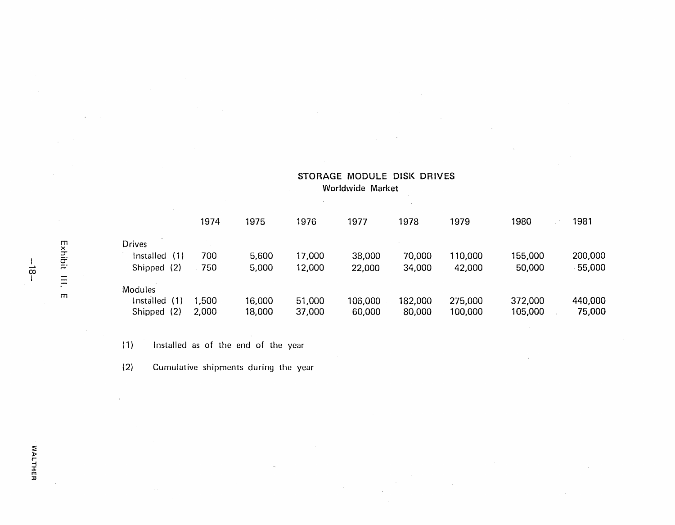|                  | 1974  | 1975   | 1976   | 1977    | 1978    | 1979    | 1980    | 1981    |
|------------------|-------|--------|--------|---------|---------|---------|---------|---------|
| <b>Drives</b>    |       |        |        |         |         |         |         |         |
| (1)<br>Installed | 700   | 5,600  | 17,000 | 38,000  | 70,000  | 110,000 | 155,000 | 200,000 |
| (2)<br>Shipped   | 750   | 5,000  | 12,000 | 22,000  | 34,000  | 42,000  | 50,000  | 55,000  |
| <b>Modules</b>   |       |        |        |         |         |         |         |         |
| (1)<br>Installed | 1,500 | 16,000 | 51,000 | 106,000 | 182,000 | 275,000 | 372,000 | 440,000 |
| (2)<br>Shipped   | 2,000 | 18,000 | 37,000 | 60,000  | 80,000  | 100,000 | 105,000 | 75,000  |

STORAGE MODULE DISK DRIVES

 $\alpha$ 

Worldwide Market

(1) Installed as of the end of the year

(2) Cumulative shipments during the year

 $-\frac{1}{8}$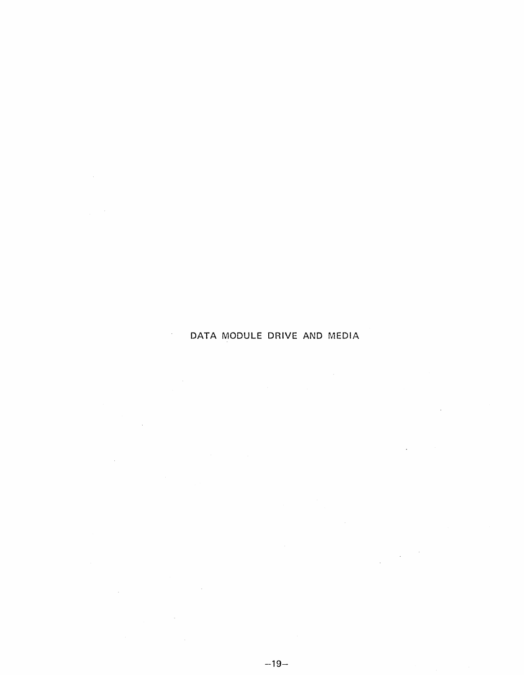## DATA MODULE DRIVE AND MEDIA

 $\mathcal{L}^{\text{max}}_{\text{max}}$  , where  $\mathcal{L}^{\text{max}}_{\text{max}}$ 

 $\label{eq:2.1} \frac{1}{\sqrt{2\pi}}\int_{\mathbb{R}^3}\frac{1}{\sqrt{2\pi}}\int_{\mathbb{R}^3}\frac{1}{\sqrt{2\pi}}\int_{\mathbb{R}^3}\frac{1}{\sqrt{2\pi}}\int_{\mathbb{R}^3}\frac{1}{\sqrt{2\pi}}\int_{\mathbb{R}^3}\frac{1}{\sqrt{2\pi}}\int_{\mathbb{R}^3}\frac{1}{\sqrt{2\pi}}\int_{\mathbb{R}^3}\frac{1}{\sqrt{2\pi}}\int_{\mathbb{R}^3}\frac{1}{\sqrt{2\pi}}\int_{\mathbb{R}^3}\frac{1$ 

 $\mathcal{L}(\mathcal{L}^{\text{max}}_{\mathcal{L}})$  ,  $\mathcal{L}^{\text{max}}_{\mathcal{L}}$ 

 $\mathcal{L}^{\text{max}}_{\text{max}}$ 

 $\sim 10$ 

 $\mathcal{L}(\mathbf{q},\mathbf{q})$  , and  $\mathcal{L}(\mathbf{q})$ 

 $\label{eq:2.1} \frac{1}{2} \sum_{i=1}^n \frac{1}{2} \sum_{j=1}^n \frac{1}{2} \sum_{j=1}^n \frac{1}{2} \sum_{j=1}^n \frac{1}{2} \sum_{j=1}^n \frac{1}{2} \sum_{j=1}^n \frac{1}{2} \sum_{j=1}^n \frac{1}{2} \sum_{j=1}^n \frac{1}{2} \sum_{j=1}^n \frac{1}{2} \sum_{j=1}^n \frac{1}{2} \sum_{j=1}^n \frac{1}{2} \sum_{j=1}^n \frac{1}{2} \sum_{j=1}^n \frac{$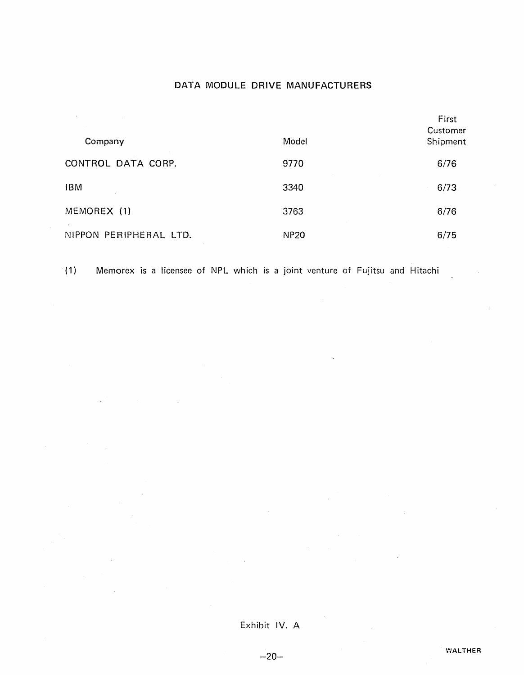#### DATA MODULE DRIVE MANUFACTURERS

| Company                | Model       | First<br>Customer<br>Shipment |
|------------------------|-------------|-------------------------------|
| CONTROL DATA CORP.     | 9770        | 6/76                          |
| <b>IBM</b>             | 3340        | 6/73                          |
| MEMOREX (1)            | 3763        | 6/76                          |
| NIPPON PERIPHERAL LTD. | <b>NP20</b> | 6/75                          |

(1) Memorex is a licensee of NPL which is a joint venture of Fujitsu and Hitachi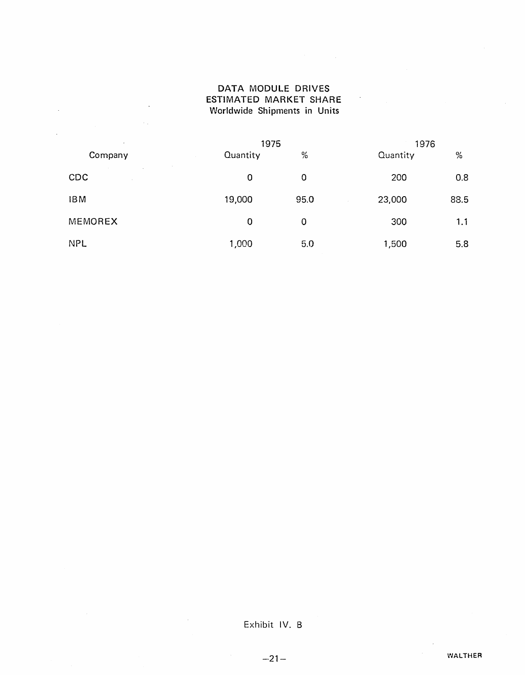#### DATA MODULE DRIVES ESTIMATED MARKET SHARE Worldwide Shipments in Units

 $\mathcal{A}^{\mathcal{A}}$ 

 $\ddot{\phantom{a}}$ 

 $\sim 10^4$ 

| $\epsilon$     |          | 1975 |          | 1976 |  |  |
|----------------|----------|------|----------|------|--|--|
| Company        | Quantity | %    | Quantity | %    |  |  |
| <b>CDC</b>     | 0        | 0    | 200      | 0.8  |  |  |
| <b>IBM</b>     | 19,000   | 95.0 | 23,000   | 88.5 |  |  |
| <b>MEMOREX</b> | 0        | 0    | 300      | 1.1  |  |  |
| <b>NPL</b>     | 1,000    | 5.0  | 1,500    | 5.8  |  |  |

Exhibit IV. B

 $\sim$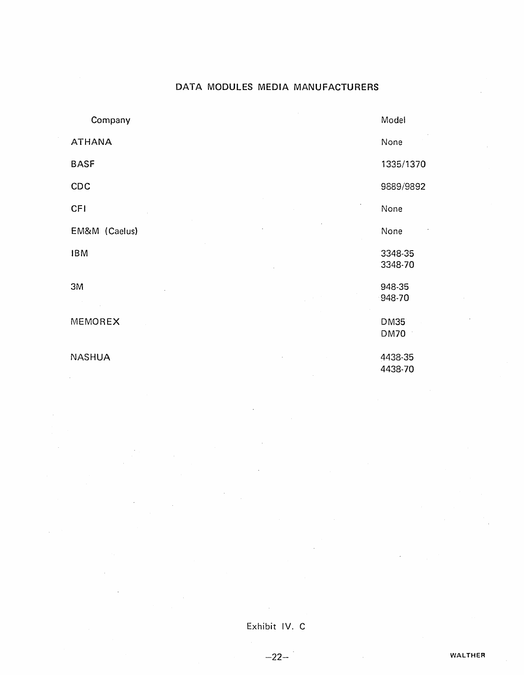### DATA MODULES MEDIA MANUFACTURERS

| Company       | Model                      |
|---------------|----------------------------|
| <b>ATHANA</b> | None                       |
| <b>BASF</b>   | 1335/1370                  |
| CDC           | 9889/9892                  |
| <b>CFI</b>    | None                       |
| EM&M (Caelus) | None                       |
| <b>IBM</b>    | 3348-35<br>3348-70         |
| 3M            | 948-35<br>$-948 - 70$      |
| MEMOREX       | <b>DM35</b><br><b>DM70</b> |
| <b>NASHUA</b> | 4438-35<br>4438-70         |

Exhibit IV. C

 $-22-$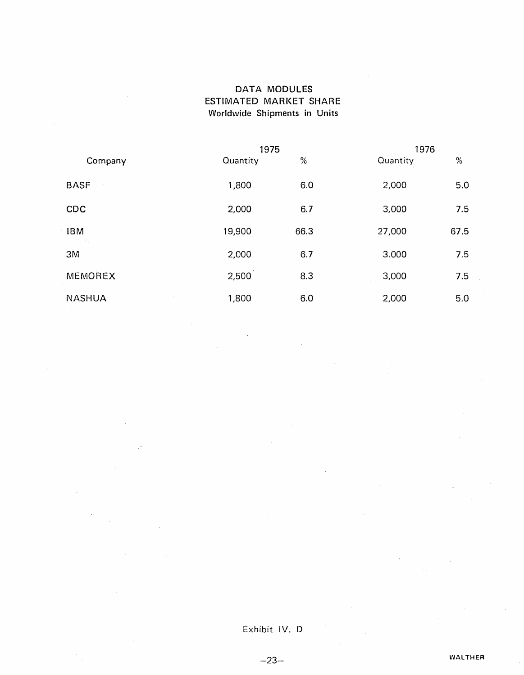### DATA MODULES ESTIMATED MARKET SHARE Worldwide Shipments in Units

|               | 1975     |      | 1976     |      |  |
|---------------|----------|------|----------|------|--|
| Company       | Quantity | %    | Quantity | %    |  |
| <b>BASF</b>   | 1,800    | 6.0  | 2,000    | 5.0  |  |
| CDC           | 2,000    | 6.7  | 3,000    | 7.5  |  |
| <b>IBM</b>    | 19,900   | 66.3 | 27,000   | 67.5 |  |
| 3M            | 2,000    | 6.7  | 3.000    | 7.5  |  |
| MEMOREX       | 2,500    | 8.3  | 3,000    | 7.5  |  |
| <b>NASHUA</b> | 1,800    | 6.0  | 2,000    | 5.0  |  |

Exhibit IV. D

 $-23-$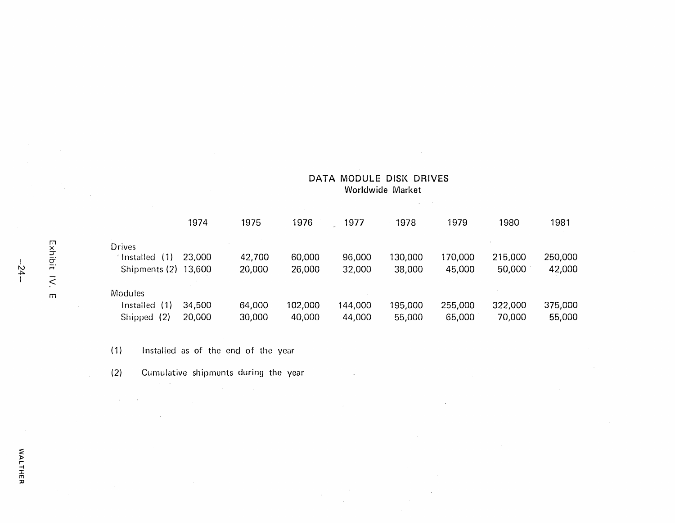#### DATA MODULE DISK DRIVES Worldwide Market

 $\mathcal{L}^{\text{max}}_{\text{max}}$  , where  $\mathcal{L}^{\text{max}}_{\text{max}}$ 

|                      | 1974   | 1975   | 1976    | 1977    | 1978    | 1979    | 1980    | 1981    |
|----------------------|--------|--------|---------|---------|---------|---------|---------|---------|
| <b>Drives</b>        |        |        |         |         |         |         |         |         |
| (1)<br>Installed     | 23,000 | 42,700 | 60,000  | 96,000  | 130,000 | 170,000 | 215,000 | 250,000 |
| Shipments (2) 13,600 |        | 20,000 | 26,000  | 32,000  | 38,000  | 45,000  | 50,000  | 42,000  |
| <b>Modules</b>       |        |        |         |         |         |         |         |         |
| (1)<br>Installed     | 34,500 | 64,000 | 102,000 | 144,000 | 195,000 | 255,000 | 322,000 | 375,000 |
| (2)<br>Shipped       | 20,000 | 30,000 | 40,000  | 44,000  | 55,000  | 65,000  | 70,000  | 55,000  |

 $\sim$ 

 $\sim 10$ 

 $\sim$ 

 $\sim 10^7$ 

(1) Installed as of the end of the year

(2) Cumulative shipments during the year

 $\sim 100$ 

 $\sim 10^{11}$  km s  $^{-1}$ 

 $\mathcal{A}(\mathcal{A})$  and  $\mathcal{A}(\mathcal{A})$ 

m

 $\mathcal{A}^{\pm}$ 

 $-24.$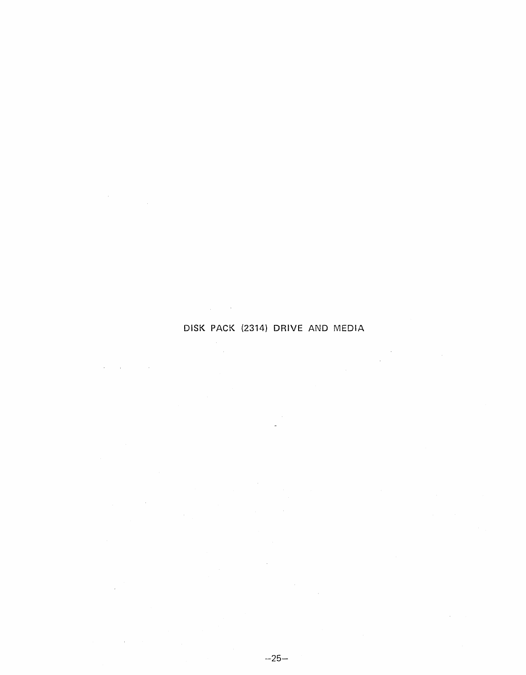#### DISK PACK (2314) DRIVE AND MEDIA

 $\label{eq:2.1} \frac{1}{\sqrt{2\pi}}\frac{1}{\sqrt{2\pi}}\int_{0}^{\infty}\frac{1}{\sqrt{2\pi}}\frac{1}{\sqrt{2\pi}}\frac{1}{\sqrt{2\pi}}\frac{1}{\sqrt{2\pi}}\frac{1}{\sqrt{2\pi}}\frac{1}{\sqrt{2\pi}}\frac{1}{\sqrt{2\pi}}\frac{1}{\sqrt{2\pi}}\frac{1}{\sqrt{2\pi}}\frac{1}{\sqrt{2\pi}}\frac{1}{\sqrt{2\pi}}\frac{1}{\sqrt{2\pi}}\frac{1}{\sqrt{2\pi}}\frac{1}{\sqrt{2\pi}}\frac{1}{\sqrt{2\$ 

 $\mathcal{L}_{\text{max}}$  , where  $\mathcal{L}_{\text{max}}$ 

 $\frac{1}{\sqrt{2}}\sum_{i=1}^{n} \frac{1}{\sqrt{2}} \left( \frac{1}{\sqrt{2}} \right)^{2} \left( \frac{1}{\sqrt{2}} \right)^{2}$ 

 $\label{eq:2} \frac{1}{\sqrt{2}}\sum_{i=1}^n\frac{1}{\sqrt{2}}\sum_{i=1}^n\frac{1}{\sqrt{2}}\sum_{i=1}^n\frac{1}{\sqrt{2}}\sum_{i=1}^n\frac{1}{\sqrt{2}}\sum_{i=1}^n\frac{1}{\sqrt{2}}\sum_{i=1}^n\frac{1}{\sqrt{2}}\sum_{i=1}^n\frac{1}{\sqrt{2}}\sum_{i=1}^n\frac{1}{\sqrt{2}}\sum_{i=1}^n\frac{1}{\sqrt{2}}\sum_{i=1}^n\frac{1}{\sqrt{2}}\sum_{i=1}^n\frac{1$ 

 $\mathcal{L}(\mathcal{A})$  and  $\mathcal{L}(\mathcal{A})$  are  $\mathcal{L}(\mathcal{A})$  . Then

 $\sim$   $\sim$ 

 $\sim$ 

 $\sim 100$ 

 $\sim$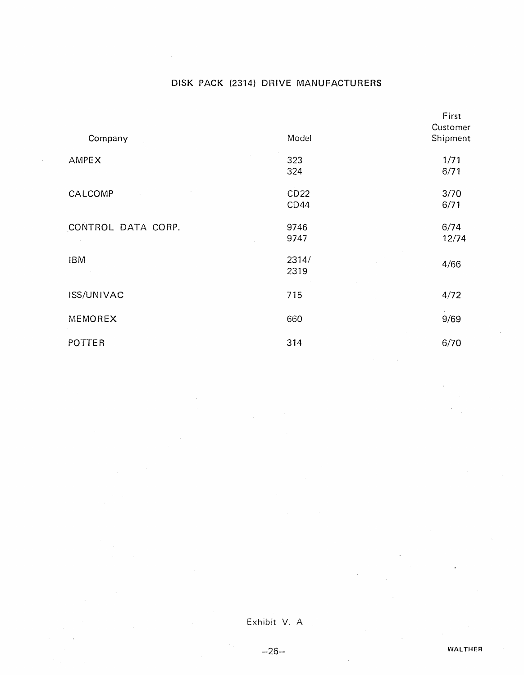# DISK PACK (2314) DRIVE MANUFACTURERS

| Company            | Model | First<br>Customer<br>Shipment |
|--------------------|-------|-------------------------------|
|                    |       |                               |
| AMPEX              | 323   | 1/71                          |
|                    | 324   | 6/71                          |
| CALCOMP            | CD22  | 3/70                          |
|                    | CD44  | 6/71                          |
| CONTROL DATA CORP. | 9746  | 6/74                          |
|                    | 9747  | 12/74                         |
| <b>IBM</b>         | 2314/ |                               |
|                    | 2319  | 4/66                          |
| ISS/UNIVAC         | 715   | 4/72                          |
|                    |       |                               |
| MEMOREX            | 660   | 9/69                          |
| POTTER             | 314   | 6/70                          |

Exhibit V. A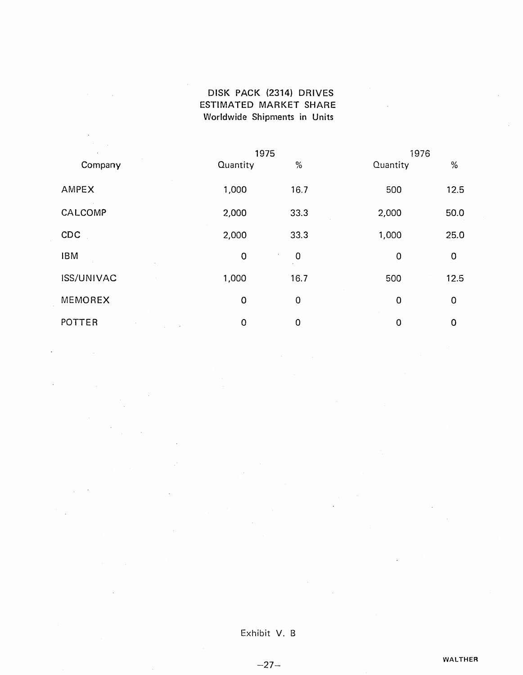### DISK PACK (2314) DRIVES ESTIMATED MARKET SHARE Worldwide Shipments in Units

|            | 1975        |             | 1976        |             |
|------------|-------------|-------------|-------------|-------------|
| Company    | Quantity    | %           | Quantity    | $\%$        |
| AMPEX      | 1,000       | 16.7        | 500         | 12.5        |
| CALCOMP    | 2,000       | 33.3        | 2,000       | 50.0        |
| CDC        | 2,000       | 33.3        | 1,000       | 25.0        |
| <b>IBM</b> | $\mathbf 0$ | $\mathbf 0$ | $\mathbf 0$ | $\mathbf 0$ |
| ISS/UNIVAC | 1,000       | 16.7        | 500         | 12.5        |
| MEMOREX    | $\mathbf 0$ | $\mathbf 0$ | 0           | $\mathbf 0$ |
| POTTER     | 0           | $\mathbf 0$ | $\mathbf 0$ | $\mathbf 0$ |

Exhibit V. B

 $-27-$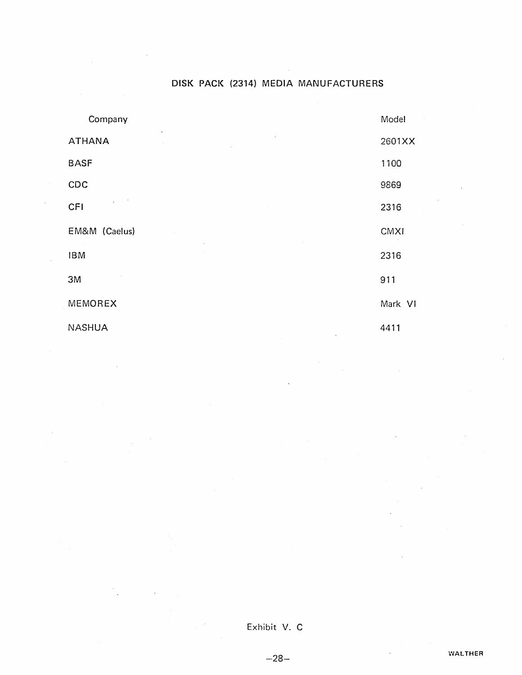### DISK PACK (2314) MEDIA MANUFACTURERS

| Company                                      | Model       |
|----------------------------------------------|-------------|
| $\bullet$<br><b>ATHANA</b><br>×<br>$\bar{L}$ | 2601XX      |
| <b>BASF</b>                                  | 1100        |
| CDC                                          | 9869        |
| $\omega_{\rm{eff}}=2$<br>CFI                 | 2316        |
| EM&M (Caelus)                                | <b>CMXI</b> |
| <b>IBM</b>                                   | 2316        |
| 3M                                           | 911         |
| MEMOREX                                      | Mark VI     |
| <b>NASHUA</b>                                | 4411        |

Exhibit V. C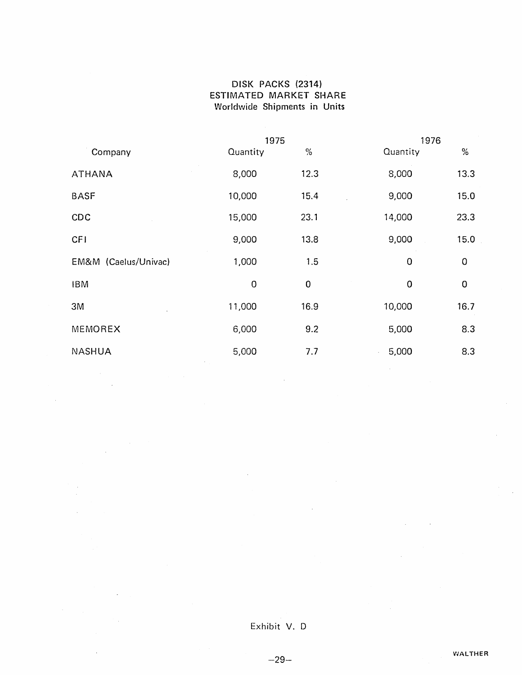#### DISK PACKS (2314) ESTIMATED MARKET SHARE Worldwide Shipments in Units

|                      | 1975        |           | 1976     |             |
|----------------------|-------------|-----------|----------|-------------|
| Company              | Quantity    | $\%$      | Quantity | $\%$        |
| <b>ATHANA</b>        | 8,000       | 12.3      | 8,000    | 13.3        |
| <b>BASF</b>          | 10,000      | 15.4      | 9,000    | 15.0        |
| CDC                  | 15,000      | 23.1      | 14,000   | 23.3        |
| <b>CFI</b>           | 9,000       | 13.8      | 9,000    | 15.0        |
| EM&M (Caelus/Univac) | 1,000       | 1.5       | 0        | $\mathbf 0$ |
| <b>IBM</b>           | $\mathbf 0$ | $\pmb{0}$ | 0        | $\mathbf 0$ |
| 3M                   | 11,000      | 16.9      | 10,000   | 16.7        |
| MEMOREX              | 6,000       | 9.2       | 5,000    | 8.3         |
| <b>NASHUA</b>        | 5,000       | 7.7       | 5,000    | 8.3         |

 $\bar{A}$ 

### Exhibit V. 0

 $-29-$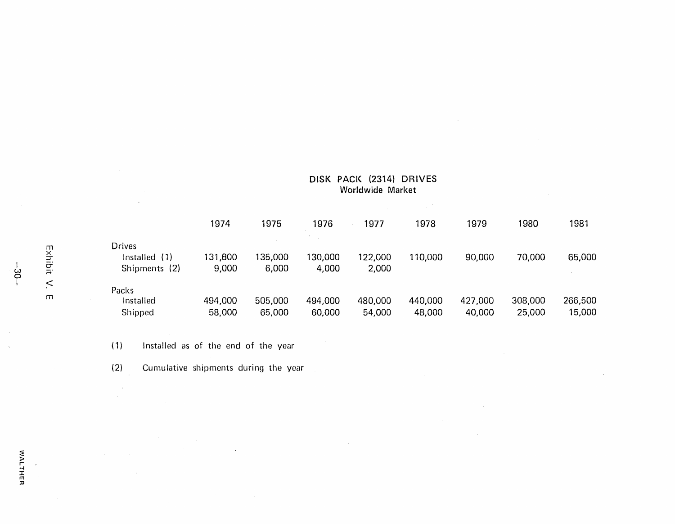#### DISK PACK (2314) DRIVES Worldwide Market

 $\sim$ 

 $\sim$ 

 $\sim 10^7$ 

 $\sim 10^4$ 

|                  |                                                 | 1974              | 1975              | 1976              | 1977              | 1978              | 1979              | 1980              | 1981              |
|------------------|-------------------------------------------------|-------------------|-------------------|-------------------|-------------------|-------------------|-------------------|-------------------|-------------------|
| Exh<br>ip:<br>Fi | <b>Drives</b><br>Installed (1)<br>Shipments (2) | 131,800<br>9,000  | 135,000<br>6,000  | 130,000<br>4,000  | 122,000<br>2,000  | 110,000           | 90,000            | 70,000            | 65,000            |
| $\prec$<br>m     | Packs<br>Installed<br>Shipped                   | 494,000<br>58,000 | 505,000<br>65,000 | 494,000<br>60,000 | 480,000<br>54,000 | 440,000<br>48,000 | 427,000<br>40,000 | 308,000<br>25,000 | 266,500<br>15,000 |

(1) Installed as of the end of the year

(2) Cumulative shipments during the year

 $\alpha$ 

 $\epsilon$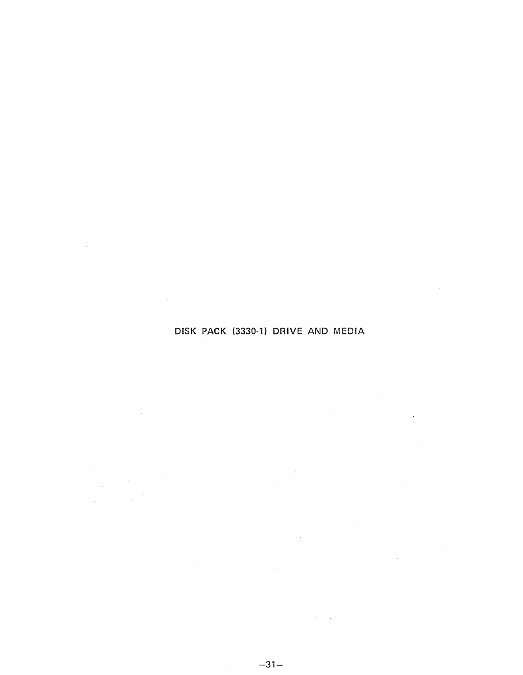### DISK PACK (3330-1) DRIVE AND MEDIA

 $\label{eq:2.1} \mathcal{L}_{\text{max}}(\mathcal{L}_{\text{max}}) = \mathcal{L}_{\text{max}}(\mathcal{L}_{\text{max}})$ 

 $\sim 10^{11}$  km s  $^{-1}$ 

 $\mathcal{L}^{\text{max}}_{\text{max}}$  and  $\mathcal{L}^{\text{max}}_{\text{max}}$ 

 $\mathcal{L}^{\text{max}}_{\text{max}}$  and  $\mathcal{L}^{\text{max}}_{\text{max}}$ 

 $\mathcal{L}^{\text{max}}_{\text{max}}$ 

 $\mathcal{L}_{\text{max}}$  , and  $\mathcal{L}_{\text{max}}$ 

 $\label{eq:2} \mathcal{L}^{\text{max}}_{\text{max}} = \mathcal{L}^{\text{max}}_{\text{max}} \left( \mathcal{L}^{\text{max}}_{\text{max}} \right)$ 

 $\sim 1000$  km s  $^{-1}$ 

 $\mathcal{L}^{\text{max}}_{\text{max}}$ 

 $\mathcal{L}_{\text{max}}$  , and  $\mathcal{L}_{\text{max}}$ 

 $\mathcal{L}^{\text{max}}_{\text{max}}$  and  $\mathcal{L}^{\text{max}}_{\text{max}}$ 

 $\label{eq:2.1} \frac{1}{\sqrt{2}}\int_{\mathbb{R}^3}\frac{1}{\sqrt{2}}\left(\frac{1}{\sqrt{2}}\right)^2\frac{1}{\sqrt{2}}\left(\frac{1}{\sqrt{2}}\right)^2\frac{1}{\sqrt{2}}\left(\frac{1}{\sqrt{2}}\right)^2.$ 

 $\label{eq:2.1} \begin{split} \mathcal{L}_{\text{max}}(\mathbf{r}) & = \mathcal{L}_{\text{max}}(\mathbf{r}) \mathcal{L}_{\text{max}}(\mathbf{r}) \,, \\ \mathcal{L}_{\text{max}}(\mathbf{r}) & = \mathcal{L}_{\text{max}}(\mathbf{r}) \mathcal{L}_{\text{max}}(\mathbf{r}) \,, \end{split}$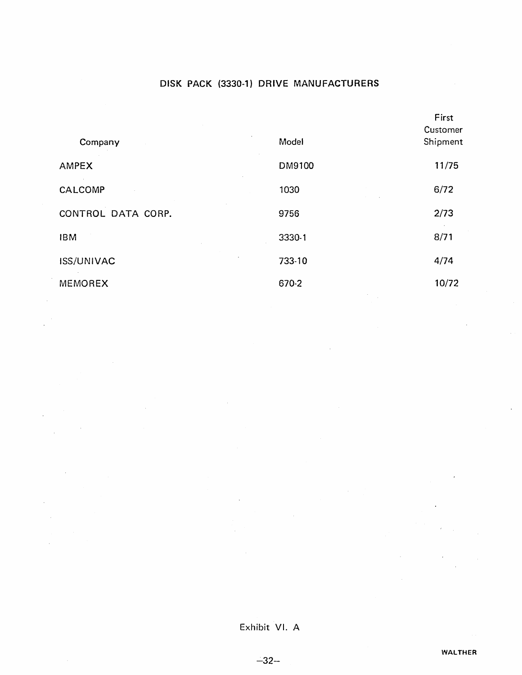### DISK PACK (3330-1) DRIVE MANUFACTURERS

|                        |        | First                |
|------------------------|--------|----------------------|
| Company                | Model  | Customer<br>Shipment |
| AMPEX                  | DM9100 | 11/75                |
| CALCOMP                | 1030   | 6/72                 |
| CONTROL DATA CORP.     | 9756   | 2/73                 |
| <b>IBM</b>             | 3330-1 | 8/71                 |
| ٠<br><b>ISS/UNIVAC</b> | 733-10 | 4/74                 |
| <b>MEMOREX</b>         | 670-2  | 10/72                |

Exhibit VI. A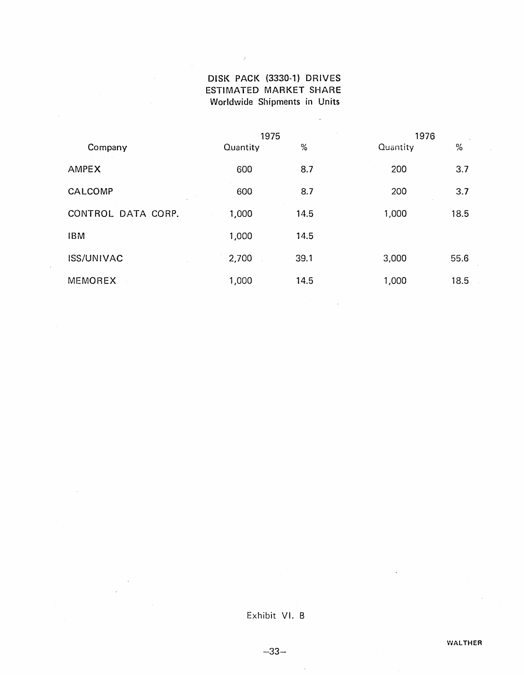### DISK PACK (3330-1) DRIVES ESTIMATED MARKET SHARE Worldwide Shipments in Units

 $\hat{\mathcal{A}}$ 

 $\bar{z}$ 

 $\Delta \phi$ 

 $\bar{\beta}$ 

|                    |          | 1976<br>1975 |          |               |
|--------------------|----------|--------------|----------|---------------|
| Company            | Quantity | $\%$         | Quantity | $\frac{0}{2}$ |
| AMPEX              | 600      | 8.7          | 200      | 3.7           |
| CALCOMP            | 600      | 8.7          | 200      | 3.7           |
| CONTROL DATA CORP. | 1,000    | 14.5         | 1,000    | 18.5          |
| <b>IBM</b>         | 1,000    | 14.5         |          |               |
| <b>ISS/UNIVAC</b>  | 2,700    | 39.1         | 3,000    | 55.6          |
| <b>MEMOREX</b>     | 1,000    | 14.5         | 1,000    | 18.5          |

### Exhibit VI. B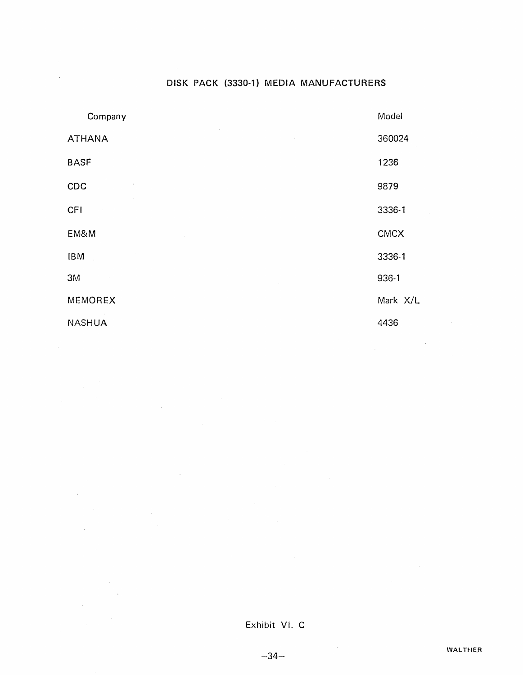### DISK PACK (3330-1) MEDIA MANUFACTURERS

| Company       | Model    |
|---------------|----------|
| <b>ATHANA</b> | 360024   |
| <b>BASF</b>   | 1236     |
| CDC           | 9879     |
| CFI           | 3336-1   |
| EM&M          | CMCX     |
| <b>IBM</b>    | 3336-1   |
| 3M            | 936-1    |
| MEMOREX       | Mark X/L |
| <b>NASHUA</b> | 4436     |

 $\mathcal{L}_{\mathcal{A}}$ 

 $\Delta \phi$ 

 $\sim$ 

 $\sim$ 

 $\hat{\boldsymbol{\beta}}$ 

 $\sim$ 

 $\mathcal{O}(10^{11} \log \log n)$ 

Exhibit VI. C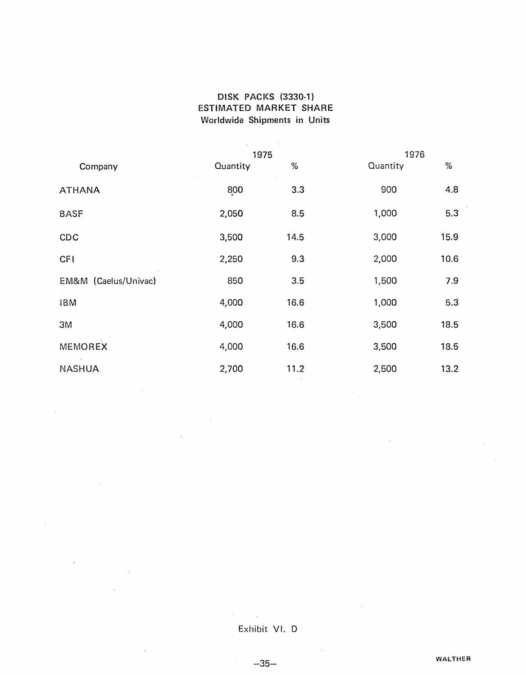### DISK PACKS (3330-1) ESTIMATED MARKET SHARE Worldwide Shipments in Units

|                      | 1975     |      | 1976     |      |
|----------------------|----------|------|----------|------|
| Company              | Quantity | %    | Quantity | $\%$ |
| <b>ATHANA</b>        | 800      | 3.3  | 900      | 4.8  |
| <b>BASF</b>          | 2,050    | 8.5  | 1,000    | 5.3  |
| CDC                  | 3,500    | 14.5 | 3,000    | 15.9 |
| <b>CFI</b>           | 2,250    | 9.3  | 2,000    | 10.6 |
| EM&M (Caelus/Univac) | 850      | 3.5  | 1,500    | 7.9  |
| <b>IBM</b>           | 4,000    | 16.6 | 1,000    | 5.3  |
| 3M                   | 4,000    | 16.6 | 3,500    | 18.5 |
| <b>MEMOREX</b>       | 4,000    | 16.6 | 3,500    | 18.5 |
| <b>NASHUA</b>        | 2,700    | 11.2 | 2,500    | 13.2 |

### Exhibit VI. D

 $\mathcal{F}^{\text{max}}_{\text{max}}$ 

-35-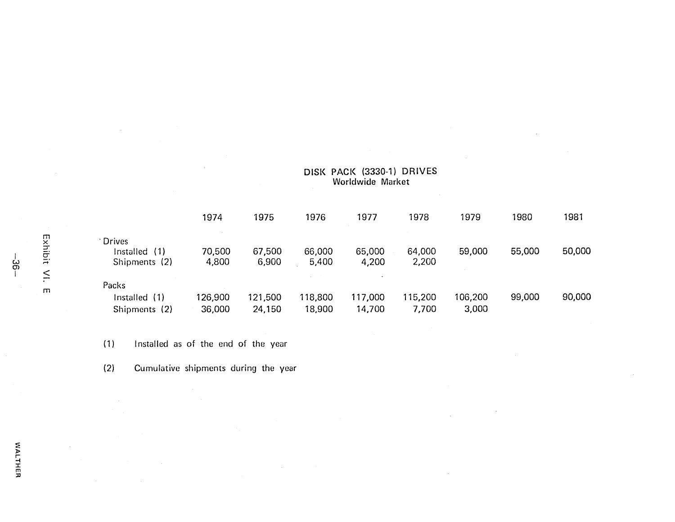|                |                                          |                                         | 1974              | 1975              | 1976              | 1977              | 1978             | 1979             | 1980   | 1981   |
|----------------|------------------------------------------|-----------------------------------------|-------------------|-------------------|-------------------|-------------------|------------------|------------------|--------|--------|
| Exhibit<br>ယ္က | Drives<br>Installed (1)<br>Shipments (2) | 70,500<br>4,800                         | 67,500<br>6,900   | 66,000<br>5,400   | 65,000<br>4,200   | 64,000<br>2,200   | 59,000           | 55,000           | 50,000 |        |
|                | $\leq$<br>m                              | Packs<br>Installed (1)<br>Shipments (2) | 126,900<br>36,000 | 121,500<br>24,150 | 118,800<br>18,900 | 117,000<br>14,700 | 115,200<br>7,700 | 106,200<br>3,000 | 99,000 | 90,000 |

DISK PACK (3330-1) DRIVES Worldwide Market

 $\sim$ 

 $\sim$ 

(1) Installed as of the end of the year

(2) Cumulative shipments during the year

 $\sim$ 

 $\sim$ 

 $\mathbb{R}^2$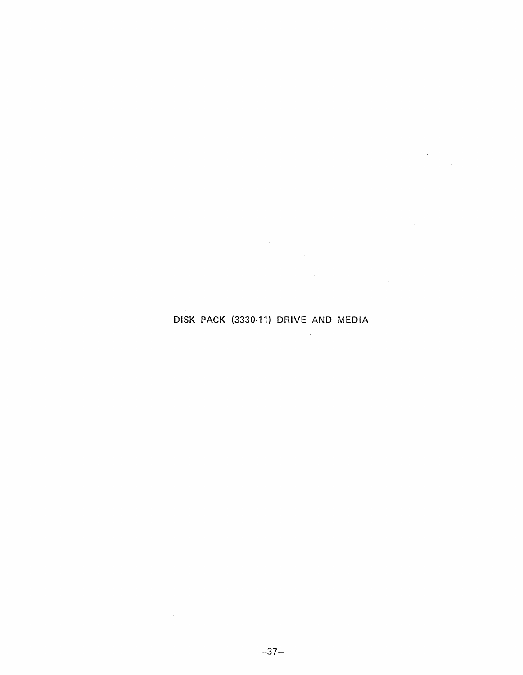### DISK PACK (3330-11) DRIVE AND MEDIA

 $\sim$ 

 $\sim 10$ 

 $\sim$ 

 $\bar{\mathcal{L}}$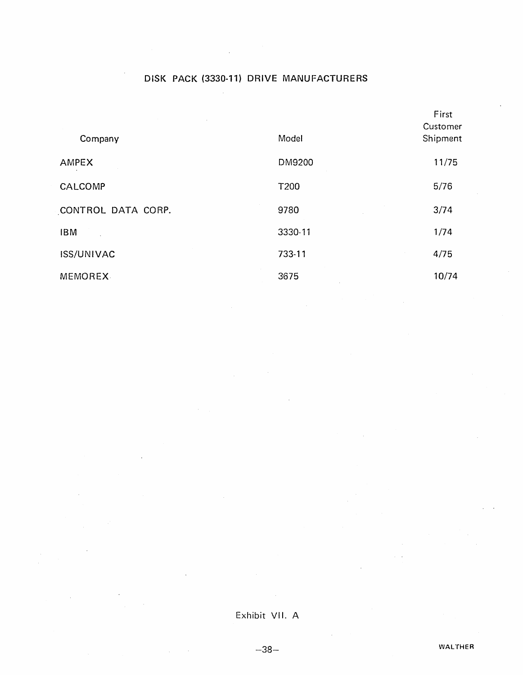### DISK PACK (3330-11) DRIVE MANUFACTURERS

|                    |         | First<br>Customer |
|--------------------|---------|-------------------|
| Company            | Model   | Shipment          |
| AMPEX              | DM9200  | 11/75             |
| CALCOMP            | T200    | 5/76              |
| CONTROL DATA CORP. | 9780    | 3/74              |
| <b>IBM</b>         | 3330-11 | 1/74              |
| <b>ISS/UNIVAC</b>  | 733-11  | 4/75              |
| MEMOREX-           | 3675    | 10/74             |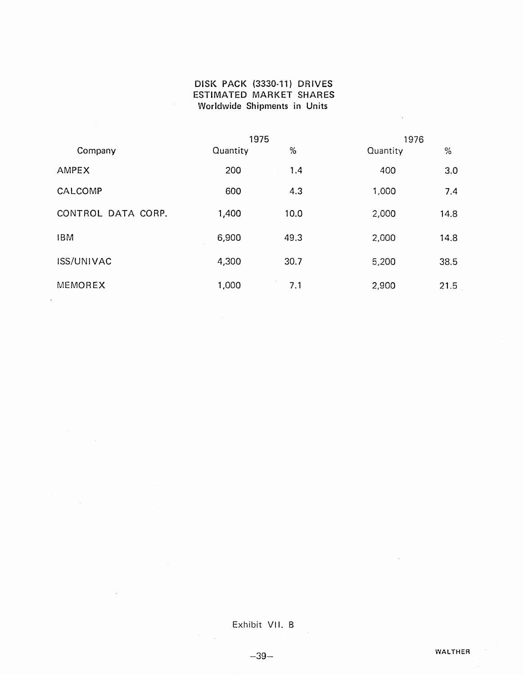#### DISK PACK (3330-11) DRIVES ESTIMATED MARKET SHARES Worldwide Shipments in Units

|                    | 1975     |      | 1976     |               |  |
|--------------------|----------|------|----------|---------------|--|
| Company            | Quantity | %    | Quantity | $\frac{0}{2}$ |  |
| AMPEX              | 200      | 1.4  | 400      | 3.0           |  |
| CALCOMP            | 600      | 4.3  | 1,000    | 7.4           |  |
| CONTROL DATA CORP. | 1,400    | 10.0 | 2,000    | 14.8          |  |
| <b>IBM</b>         | 6,900    | 49.3 | 2,000    | 14.8          |  |
| ISS/UNIVAC         | 4,300    | 30.7 | 5,200    | 38.5          |  |
| <b>MEMOREX</b>     | 1,000    | 7.1  | 2,900    | 21.5          |  |

Exhibit VII. B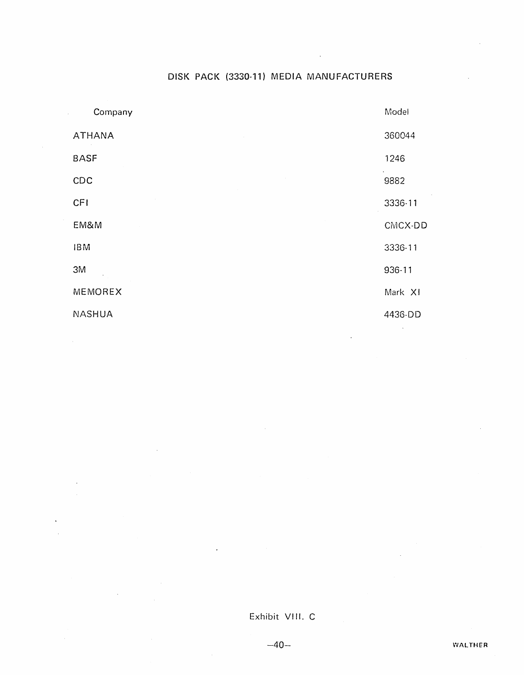### DISK PACK (3330-11) MEDIA MANUFACTURERS

 $\overline{a}$ 

| Company       | Model   |
|---------------|---------|
| <b>ATHANA</b> | 360044  |
| <b>BASF</b>   | 1246    |
| CDC           | 9882    |
| <b>CFI</b>    | 3336-11 |
| EM&M          | CMCX-DD |
| <b>IBM</b>    | 3336-11 |
| 3M            | 936-11  |
| MEMOREX       | Mark XI |
| <b>NASHUA</b> | 4436-DD |

#### Exhibit VIII. C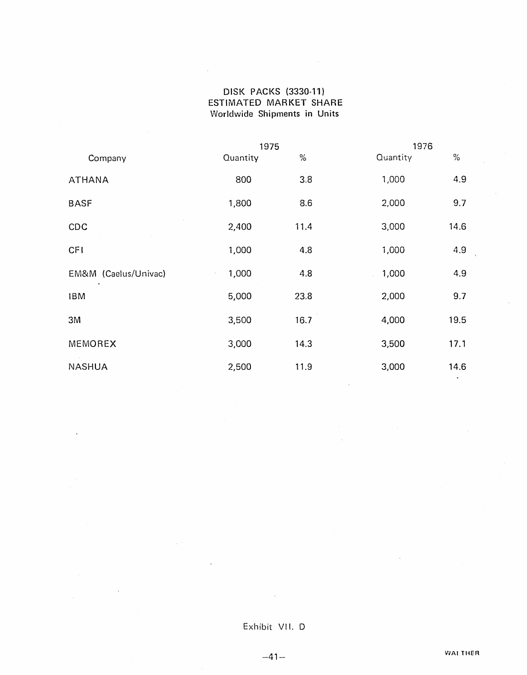#### DISK PACKS (3330-11) ESTIMATED MARKET SHARE Worldwide Shipments in Units

 $\bar{z}$ 

|                      | 1975     |      | 1976     |      |  |
|----------------------|----------|------|----------|------|--|
| Company              | Quantity | $\%$ | Quantity | $\%$ |  |
| <b>ATHANA</b>        | 800      | 3.8  | 1,000    | 4.9  |  |
| <b>BASF</b>          | 1,800    | 8.6  | 2,000    | 9.7  |  |
| CDC                  | 2,400    | 11.4 | 3,000    | 14.6 |  |
| CFI                  | 1,000    | 4.8  | 1,000    | 4.9  |  |
| EM&M (Caelus/Univac) | 1,000    | 4.8  | 1,000    | 4.9  |  |
| <b>IBM</b>           | 5,000    | 23.8 | 2,000    | 9.7  |  |
| 3M                   | 3,500    | 16.7 | 4,000    | 19.5 |  |
| MEMOREX              | 3,000    | 14.3 | 3,500    | 17.1 |  |
| <b>NASHUA</b>        | 2,500    | 11.9 | 3,000    | 14.6 |  |

## Exhibit VII. 0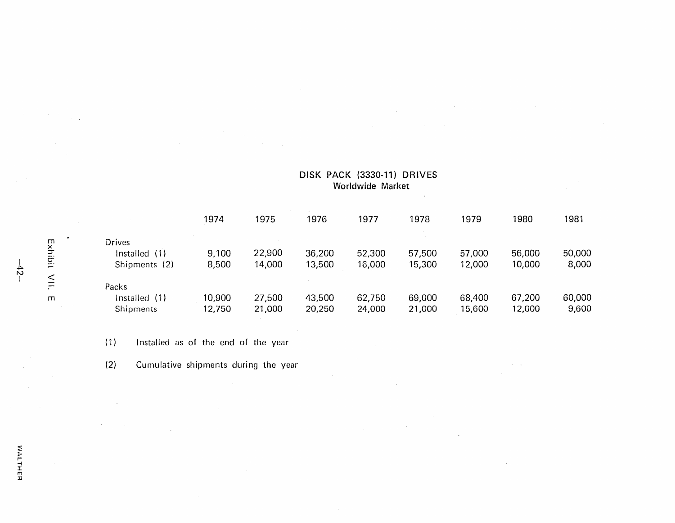|                         |                                                 | 1974             | 1975             | 1976             | 1977             | 1978             | 1979             | 1980             | 1981            |
|-------------------------|-------------------------------------------------|------------------|------------------|------------------|------------------|------------------|------------------|------------------|-----------------|
| Exhibit                 | <b>Drives</b><br>Installed (1)<br>Shipments (2) | 9,100<br>8,500   | 22,900<br>14,000 | 36,200<br>13,500 | 52,300<br>16,000 | 57,500<br>15,300 | 57,000<br>12,000 | 56,000<br>10,000 | 50,000<br>8,000 |
| $\leqq$<br>$\mathsf{m}$ | Packs<br>Installed (1)<br>Shipments             | 10,900<br>12,750 | 27,500<br>21,000 | 43,500<br>20,250 | 62,750<br>24,000 | 69,000<br>21,000 | 68,400<br>15,600 | 67,200<br>12,000 | 60,000<br>9,600 |

 $\sim$ 

DISK PACK (3330-11) DRIVES Worldwide Market

 $\sim$ 

 $\sim 10^{11}$  km  $^{-1}$ 

(1) Installed as of the end of the year

(2) Cumulative shipments during the year

 $\sim$ 

 $\sim$   $\sim$ 

 $-5 -$ 

 $\gamma_{\rm{eff}}=8$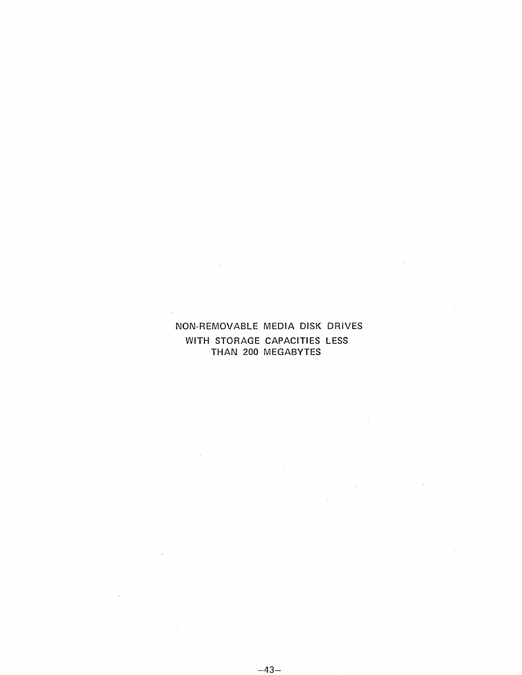### NON-REMOVABLE MEDIA DISK DRIVES WITH STORAGE CAPACITIES LESS THAN 200 MEGABYTES

 $\overline{\phantom{a}}$ 

 $\mathcal{L}$ 

 $\sim 10$ 

 $\bar{\beta}$ 

 $\mathcal{L}$ 

 $\bar{z}$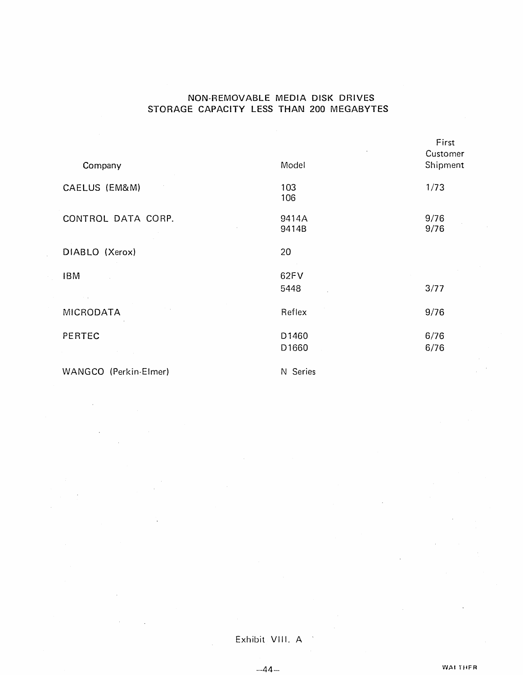#### NON-REMOVABLE MEDIA DISK DRIVES STORAGE CAPACITY LESS THAN 200 MEGABYTES

|                    |                | First        |
|--------------------|----------------|--------------|
|                    |                | Customer     |
| Company            | Model          | Shipment     |
| CAELUS (EM&M)      | 103<br>106     | 1/73         |
| CONTROL DATA CORP. | 9414A<br>9414B | 9/76<br>9/76 |
| DIABLO (Xerox)     | 20             |              |
| <b>IBM</b>         | 62FV           |              |
| $\sim 10^{-1}$ k   | 5448           | 3/77         |
| <b>MICRODATA</b>   | Reflex         | 9/76         |
| PERTEC             | D1460          | 6/76         |
|                    | D1660          | 6/76         |
|                    |                |              |

WANGCO (Perkin-Elmer) N Series

 $\ddot{\phantom{a}}$ 

 $\mathcal{L}$ 

Exhibit VIII. A

 $-44-$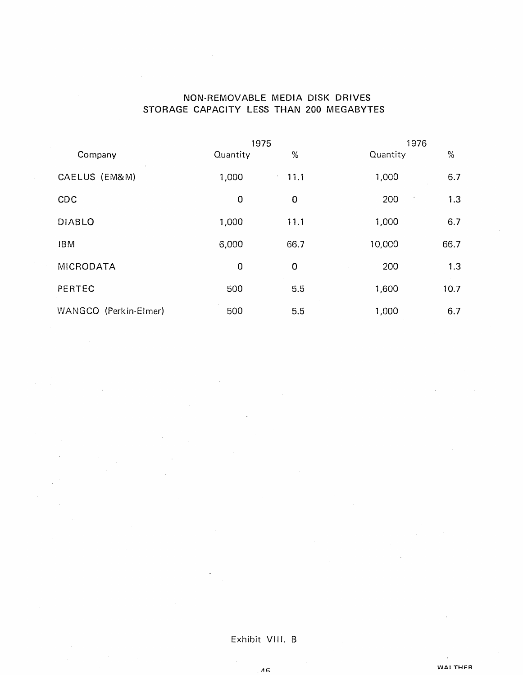### NON-REMOVABLE MEDIA DISK DRIVES STORAGE CAPACITY LESS THAN 200 MEGABYTES

|                       | 1975        |                    | 1976     |      |  |  |
|-----------------------|-------------|--------------------|----------|------|--|--|
| Company               | Quantity    | %                  | Quantity | $\%$ |  |  |
| CAELUS (EM&M)         | 1,000       | 11.1<br>$\epsilon$ | 1,000    | 6.7  |  |  |
| CDC                   | $\mathbf 0$ | 0                  | 200      | 1.3  |  |  |
| <b>DIABLO</b>         | 1,000       | 11.1               | 1,000    | 6.7  |  |  |
| <b>IBM</b>            | 6,000       | 66.7               | 10,000   | 66.7 |  |  |
| MICRODATA             | $\mathbf 0$ | 0                  | 200      | 1.3  |  |  |
| PERTEC                | 500         | 5.5                | 1,600    | 10.7 |  |  |
| WANGCO (Perkin-Elmer) | 500         | 5.5                | 1,000    | 6.7  |  |  |

Exhibit VIII. B

 $\overline{AB}$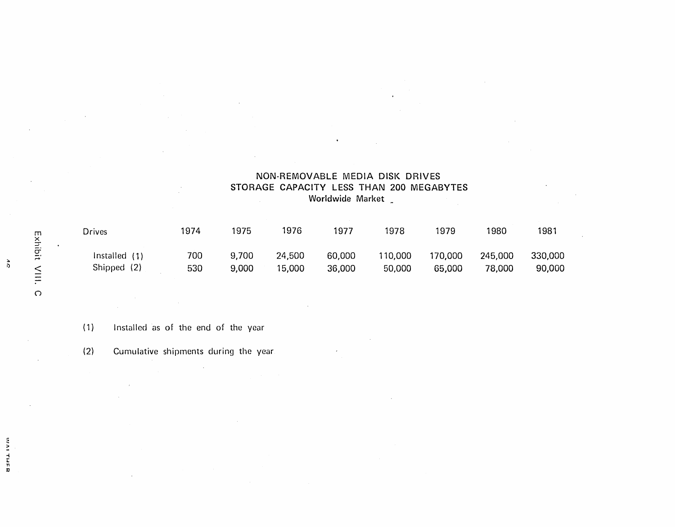|                  | NON-REMOVABLE MEDIA DISK DRIVES          |  |  |  |  |  |  |
|------------------|------------------------------------------|--|--|--|--|--|--|
|                  | STORAGE CAPACITY LESS THAN 200 MEGABYTES |  |  |  |  |  |  |
| Worldwide Market |                                          |  |  |  |  |  |  |

 $\bullet$ 

| Drives          | 1974 | 1975  | 1976   | 1977   | 1978    | 1979    | 1980    | 1981    |
|-----------------|------|-------|--------|--------|---------|---------|---------|---------|
| Installed $(1)$ | 700  | 9,700 | 24,500 | 60,000 | 110,000 | 170,000 | 245,000 | 330,000 |
| Shipped (2)     | 530  | 9,000 | 15,000 | 36,000 | 50,000  | 65,000  | 78,000  | 90,000  |

 $\sim$ 

(1) Installed as of the end of the year

(2) Cumulative shipments during the year

 $\bullet$ 

ذ<br>ذ

-i 1: T1 D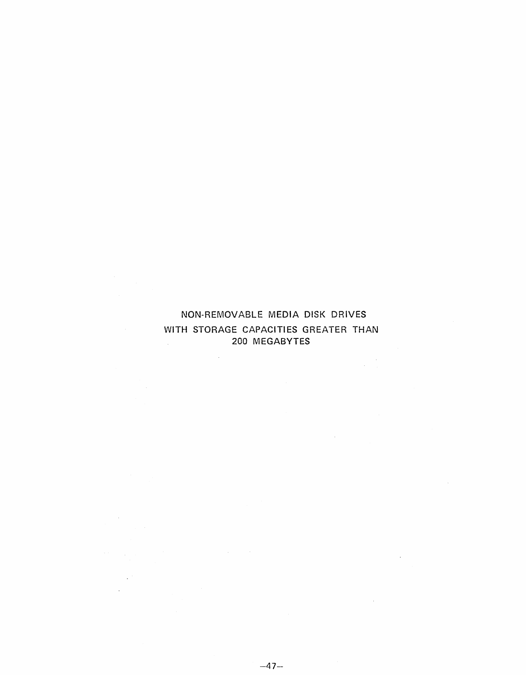#### NON-REMOVABLE MEDIA DISK DRIVES WITH STORAGE CAPACITIES GREATER THAN 200 MEGABYTES  $\sim 10^6$

 $\sim 10^{11}$ 

 $\sim$   $\sim$ 

 $\sim$   $\sim$ 

 $\sim$   $^{\prime}$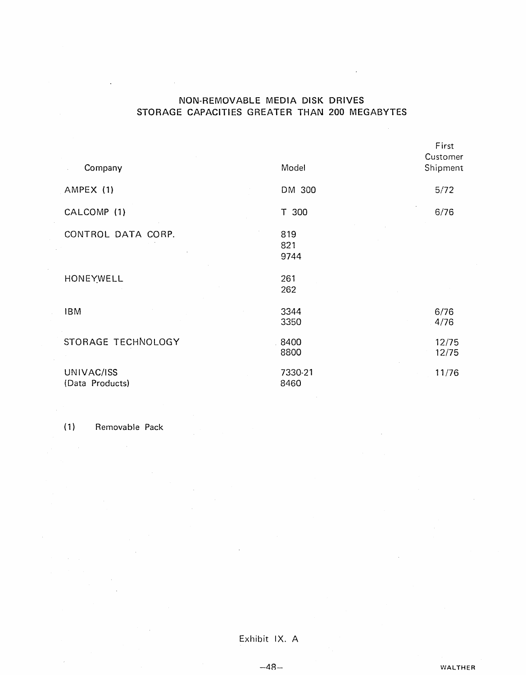#### NON-REMOVABLE MEDIA DISK DRIVES STORAGE CAPACITIES GREATER THAN 200 MEGABYTES

 $\sim$   $\sim$ 

 $\mathcal{L}$ 

| Company                       | Model              | First<br>Customer<br>Shipment |
|-------------------------------|--------------------|-------------------------------|
| AMPEX (1)                     | DM 300             | 5/72                          |
| CALCOMP (1)                   | T 300              | 6/76                          |
| CONTROL DATA CORP.            | 819<br>821<br>9744 |                               |
| HONEYWELL                     | 261<br>262         |                               |
| <b>IBM</b>                    | 3344<br>3350       | 6/76<br>4/76                  |
| STORAGE TECHNOLOGY            | 8400<br>8800       | 12/75<br>12/75                |
| UNIVAC/ISS<br>(Data Products) | 7330-21<br>8460    | 11/76                         |

(1) Removable Pack

 $\sim 10^{-1}$ 

Exhibit IX. A

 $-48-$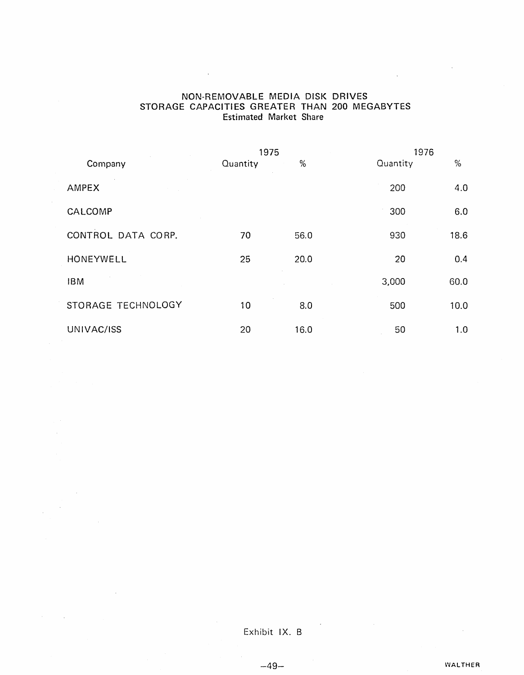#### NON-REMOVABLE MEDIA DISK DRIVES STORAGE CAPACITIES GREATER THAN 200 MEGABYTES Estimated Market Share

 $\bar{\mathcal{A}}$ 

 $\mathcal{A}^{\mathcal{A}}$ 

 $\bar{\beta}$ 

 $\sim 10^7$ 

 $\sim$   $\omega$ 

|                    | 1975     |      | 1976     |      |  |
|--------------------|----------|------|----------|------|--|
| Company            | Quantity | %    | Quantity | %    |  |
| AMPEX              |          |      | 200      | 4.0  |  |
| CALCOMP            |          |      | 300      | 6.0  |  |
| CONTROL DATA CORP. | 70       | 56.0 | 930      | 18.6 |  |
| HONEYWELL          | 25       | 20.0 | 20       | 0.4  |  |
| <b>IBM</b>         |          |      | 3,000    | 60.0 |  |
| STORAGE TECHNOLOGY | 10       | 8.0  | 500      | 10.0 |  |
| UNIVAC/ISS         | 20       | 16.0 | 50       | 1.0  |  |

Exhibit IX. B

 $-49-$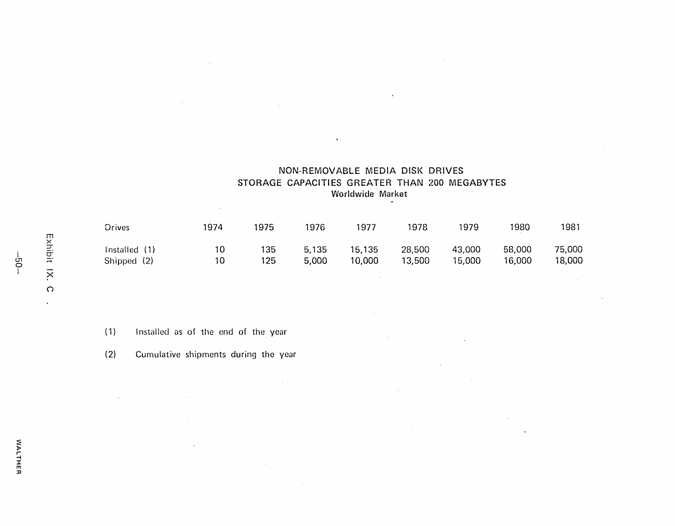| Drives                       | 1974     | 1975       | 1976           | 1977             | 1978             | 1979             | 1980             | 1981             |
|------------------------------|----------|------------|----------------|------------------|------------------|------------------|------------------|------------------|
| Installed (1)<br>Shipped (2) | 10<br>10 | 135<br>125 | 5.135<br>5,000 | 15,135<br>10,000 | 28,500<br>13,500 | 43,000<br>15,000 | 58,000<br>16,000 | 75,000<br>18,000 |

NON-REMOVABLE MEDIA DISK DRIVES STORAGE CAPACITIES GREATER THAN 200 MEGABYTES Worldwide Market

 $\sim 10^{-1}$ 

( 1) I nstalled as of the end of the year

 $\mathcal{L}^{\mathcal{L}}$ 

(2) Cumulative shipments during the year

 $\sim$ 

Exhibit  $\times$  $\circ$ 

 $\ddot{\phantom{a}}$ 

 $\sim$ 

|<br>|<br>|<br>|

VALTHER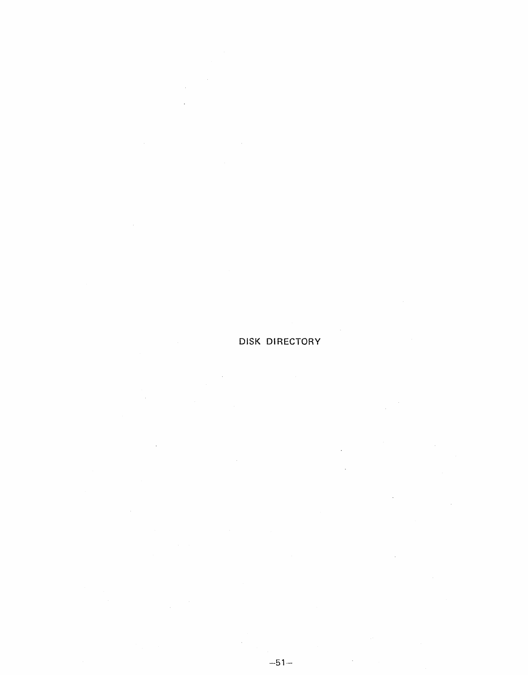# **DISK DIRECTORY**

 $\mathbb{R}^2$ 

 $\mathcal{L}_{\text{max}}$ 

 $\sim$ 

 $\sim$   $\sim$ 

 $\bar{\beta}$ 

 $\label{eq:2.1} \frac{1}{\sqrt{2\pi}}\int_{0}^{\infty}\frac{dx}{\sqrt{2\pi}}\,dx$ 

 $\label{eq:2.1} \frac{1}{\sqrt{2\pi}}\frac{1}{\sqrt{2\pi}}\frac{1}{\sqrt{2\pi}}\frac{1}{\sqrt{2\pi}}\frac{1}{\sqrt{2\pi}}\frac{1}{\sqrt{2\pi}}\frac{1}{\sqrt{2\pi}}\frac{1}{\sqrt{2\pi}}\frac{1}{\sqrt{2\pi}}\frac{1}{\sqrt{2\pi}}\frac{1}{\sqrt{2\pi}}\frac{1}{\sqrt{2\pi}}\frac{1}{\sqrt{2\pi}}\frac{1}{\sqrt{2\pi}}\frac{1}{\sqrt{2\pi}}\frac{1}{\sqrt{2\pi}}\frac{1}{\sqrt{2\pi}}\frac{1}{\sqrt$ 

 $\sim 10^7$ 

 $\sim$ 

 $\sim 10$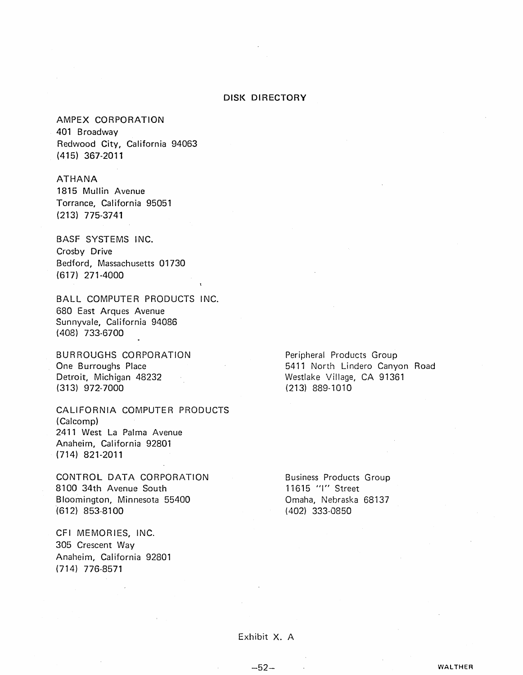#### DISK DIRECTORY

AMPEX CORPORATION 401 Broadway Redwood City, California 94063 (415) 367-2011

ATHANA 1815 Mullin Avenue Torrance, California 95051 (213) 775-3741

BASF SYSTEMS INC. Crosby Drive Bedford, Massachusetts 01730 (617) 271-4000

BALL COMPUTER PRODUCTS INC. 680 East Arques Avenue Sunnyvale, California 94086 (408) 733-6700

BURROUGHS CORPORATION One Burroughs Place Detroit, Michigan 48232 (313) 972-7000

CALIFORNIA COMPUTER PRODUCTS (Calcomp) 2411 West La Palma Avenue Anaheim, California 92801 (714) 821-2011

CONTROL DATA CORPORATION 8100 34th Avenue South Bloomington, Minnesota 55400 ·(612) 853-8100

CFI MEMORIES, INC. 305 Crescent Way Anaheim, California 92801 (714) 776-8571

Peripheral Products Group 5411 North Lindero Canyon Road Westlake Village, CA 91361 (213) 889-1010

Business Products Group 11615 "I" Street Omaha, Nebraska 68137 (402) 333-0850

Exhibit X. A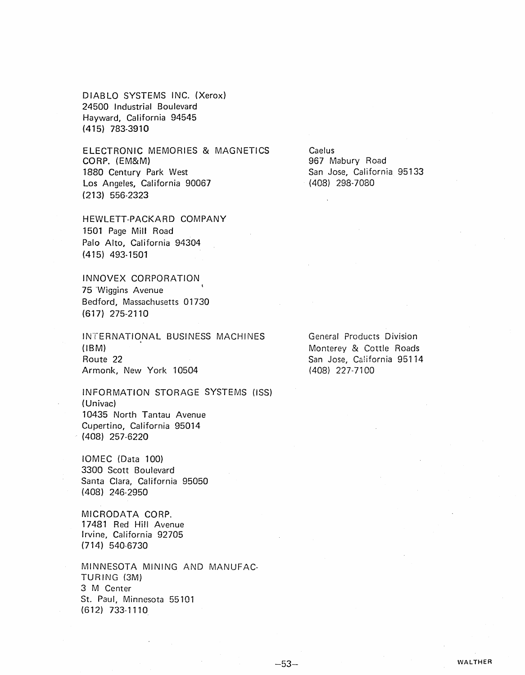DIABLO SYSTEMS INC. (Xerox) 24500 Industrial Boulevard Hayward, California 94545 (415) 783-3910

ELECTRONIC MEMORIES & MAGNETICS CORP. (EM&M) 1880 Century Park West Los Angeles, California 90067 (213) 556-2323

HEWLETT-PACKARD COMPANY 1501 Page Mill Road Palo Alto, California 94304 (415) 493-1501

INNOVEX CORPORATION 75 Wiggins Avenue Bedford, Massachusetts 01730 (617) 275-2110

INTERNATIONAL BUSINESS MACHINES (IBM) Route 22 Armonk, New York 10504

INFORMATION STORAGE SYSTEMS (ISS) ( Univac) 10435 North Tantau Avenue Cupertino, California 95014 . (408) 257-6220

IOMEC (Data 100) 3300 Scott Boulevard Santa Clara, California 95050 (408) 246-2950

MICRODATA CORP. 17481 Red Hill Avenue Irvine, California 92705 (714) 540-6730

MINNESOTA MINING AND MANUFAC-TURING (3M) 3 M Center St. Paul, Minnesota 55101 (612) 733-1110

Caelus 967 Mabury Road San Jose, California 95133 (408) 298-7080

General Products Division Monterey & Cottle Roads San Jose, California 95114 (408) 227-7100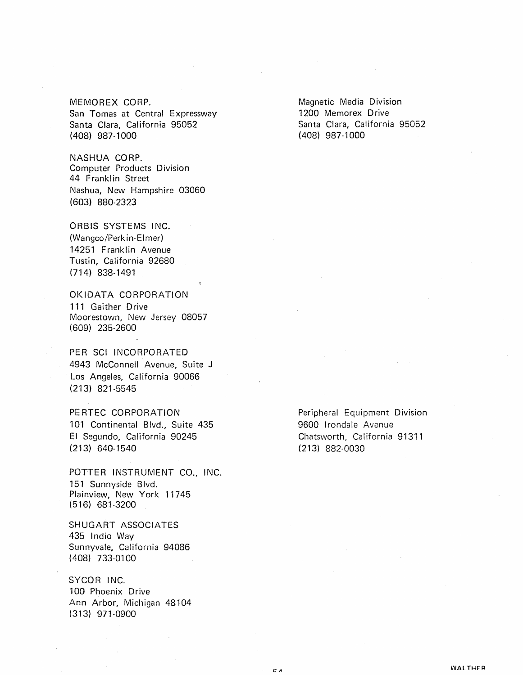MEMOREX CORP. San Tomas at Central Expressway Santa Clara, California 95052 (408) 987-1000

NASHUA CORP. Computer Products Division 44 Franklin Street Nashua, New Hampshire 03060 (603) 880-2323

ORBIS SYSTEMS INC. (Wangco/Perkin-Elmer) 14251 Franklin Avenue Tustin, California 92680 (714) 838-1491

OKIDATA CORPORATION 111 Gaither Drive Moorestown, New Jersey 08057 (609) 235-2600

PER SCI INCORPORATED 4943 McConnell Avenue, Suite J Los Angeles, California 90066 (213) 821-5545

PERTEC CORPORATION 101 Continental Blvd., Suite 435 EI Segundo, California 90245 (213) 640-1540

POTTER INSTRUMENT CO., INC. 151 Sunnyside Blvd. Plainview, New York 11745 (516) 681-3200

SHUGART ASSOCIATES 435 Indio Way Sunnyvale, California 94086 (408) 733-0100

SYCOR INC. 100 Phoenix Drive Ann Arbor, Michigan 48104 (313) 971-0900

Magnetic Media Division 1200 Memorex Drive Santa Clara, California 95052 (408) 987-1000

Peripheral Equipment Division 9600 Irondale Avenue Chatsworth, California 91311 (213) 882-0030

cл